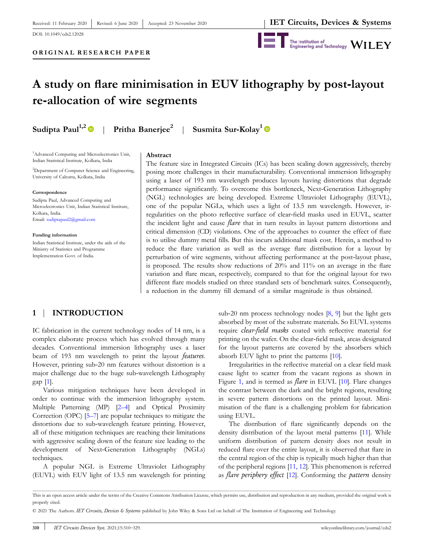DOI: 10.1049/cds2.12028

Revised: 6 June 2020



# **A study on flare minimisation in EUV lithography by post‐layout re‐allocation of wire segments**

**Sudipta Paul1,2** | **Pritha Banerjee<sup>2</sup>**

| **Susmita Sur‐Kolay<sup>1</sup>**

<sup>1</sup>Advanced Computing and Microelectronics Unit, Indian Statistical Institute, Kolkata, India

<sup>2</sup>Department of Computer Science and Engineering, University of Calcutta, Kolkata, India

#### **Correspondence**

Sudipta Paul, Advanced Computing and Microelectronics Unit, Indian Statistical Institute, Kolkata, India. Email: sudiptapaul2@gmail.com

**Funding information** Indian Statistical Institute, under the aids of the Ministry of Statistics and Programme Implementation Govt. of India.

#### **Abstract**

The feature size in Integrated Circuits (ICs) has been scaling down aggressively, thereby posing more challenges in their manufacturability. Conventional immersion lithography using a laser of 193 nm wavelength produces layouts having distortions that degrade performance significantly. To overcome this bottleneck, Next-Generation Lithography (NGL) technologies are being developed. Extreme Ultraviolet Lithography (EUVL), one of the popular NGLs, which uses a light of 13.5 nm wavelength. However, irregularities on the photo reflective surface of clear‐field masks used in EUVL, scatter the incident light and cause *flare* that in turn results in layout pattern distortions and critical dimension (CD) violations. One of the approaches to counter the effect of flare is to utilise dummy metal fills. But this incurs additional mask cost. Herein, a method to reduce the flare variation as well as the average flare distribution for a layout by perturbation of wire segments, without affecting performance at the post-layout phase, is proposed. The results show reductions of 20% and 11% on an average in the flare variation and flare mean, respectively, compared to that for the original layout for two different flare models studied on three standard sets of benchmark suites. Consequently, a reduction in the dummy fill demand of a similar magnitude is thus obtained.

## **1** | **INTRODUCTION**

IC fabrication in the current technology nodes of 14 nm, is a complex elaborate process which has evolved through many decades. Conventional immersion lithography uses a laser beam of 193 nm wavelength to print the layout *features*. However, printing sub‐20 nm features without distortion is a major challenge due to the huge sub‐wavelength Lithography gap [1].

Various mitigation techniques have been developed in order to continue with the immersion lithography system. Multiple Patterning (MP) [2–4] and Optical Proximity Correction (OPC) [5–7] are popular techniques to mitigate the distortions due to sub‐wavelength feature printing. However, all of these mitigation techniques are reaching their limitations with aggressive scaling down of the feature size leading to the development of Next‐Generation Lithography (NGLs) techniques.

A popular NGL is Extreme Ultraviolet Lithography (EUVL) with EUV light of 13.5 nm wavelength for printing

sub-20 nm process technology nodes [8, 9] but the light gets absorbed by most of the substrate materials. So EUVL systems require *clear‐field masks* coated with reflective material for printing on the wafer. On the clear‐field mask, areas designated for the layout patterns are covered by the absorbers which absorb EUV light to print the patterns [10].

Irregularities in the reflective material on a clear field mask cause light to scatter from the vacant regions as shown in Figure 1, and is termed as *flare* in EUVL [10]. Flare changes the contrast between the dark and the bright regions, resulting in severe pattern distortions on the printed layout. Minimisation of the flare is a challenging problem for fabrication using EUVL.

The distribution of flare significantly depends on the density distribution of the layout metal patterns [11]. While uniform distribution of pattern density does not result in reduced flare over the entire layout, it is observed that flare in the central region of the chip is typically much higher than that of the peripheral regions [11, 12]. This phenomenon is referred as *flare periphery effect* [12]. Conforming the *pattern* density

This is an open access article under the terms of the Creative Commons Attribution License, which permits use, distribution and reproduction in any medium, provided the original work is properly cited.

<sup>© 2021</sup> The Authors. *IET Circuits, Devices & Systems* published by John Wiley & Sons Ltd on behalf of The Institution of Engineering and Technology.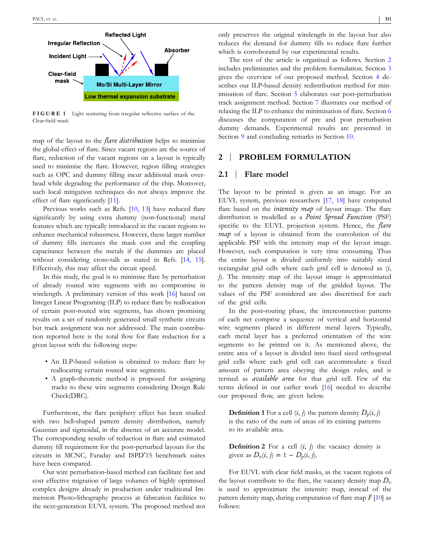

**FIGURE 1** Light scattering from irregular reflective surface of the Clear‐field mask

map of the layout to the *flare distribution* helps to minimise the global effect of flare. Since vacant regions are the source of flare, reduction of the vacant regions on a layout is typically used to minimise the flare. However, region filling strategies such as OPC and dummy filling incur additional mask overhead while degrading the performance of the chip. Moreover, such local mitigation techniques do not always improve the effect of flare significantly [11].

Previous works such as Refs. [10, 13] have reduced flare significantly by using extra dummy (non-functional) metal features which are typically introduced in the vacant regions to enhance mechanical robustness. However, these larger number of dummy fills increases the mask cost and the coupling capacitance between the metals if the dummies are placed without considering cross-talk as stated in Refs. [14, 15]. Effectively, this may affect the circuit speed.

In this study, the goal is to minimise flare by perturbation of already routed wire segments with no compromise in wirelength. A preliminary version of this work [16] based on Integer Linear Programing (ILP) to reduce flare by reallocation of certain post‐routed wire segments, has shown promising results on a set of randomly generated small synthetic circuits but track assignment was not addressed. The main contribution reported here is the total flow for flare reduction for a given layout with the following steps:

- An ILP-based solution is obtained to reduce flare by reallocating certain routed wire segments.
- A graph-theoretic method is proposed for assigning tracks to these wire segments considering Design Rule Check(DRC).

Furthermore, the flare periphery effect has been studied with two bell-shaped pattern density distribution, namely Gaussian and sigmoidal, in the absence of an accurate model. The corresponding results of reduction in flare and estimated dummy fill requirement for the post‐perturbed layouts for the circuits in MCNC, Faraday and ISPD'15 benchmark suites have been compared.

Our wire perturbation‐based method can facilitate fast and cost effective migration of large volumes of highly optimised complex designs already in production under traditional Immersion Photo‐lithography process at fabrcation facilities to the next-generation EUVL system. The proposed method not only preserves the original wirelength in the layout but also reduces the demand for dummy fills to reduce flare further which is corroborated by our experimental results.

The rest of the article is organised as follows. Section 2 includes preliminaries and the problem formulation. Section 3 gives the overview of our proposed method. Section 4 describes our ILP‐based density redistribution method for minimisation of flare. Section 5 elaborates our post-perturbation track assignment method. Section 7 illustrates our method of relaxing the ILP to enhance the minimisation of flare. Section 6 discusses the computation of pre and post perturbation dummy demands. Experimental results are presented in Section 9 and concluding remarks in Section 10.

#### **2** | **PROBLEM FORMULATION**

#### **2.1** | **Flare model**

The layout to be printed is given as an image. For an EUVL system, previous researchers [17, 18] have computed flare based on the *intensity map* of layout image. The flare distribution is modelled as a *Point Spread Function* (PSF) specific to the EUVL projection system. Hence, the *flare map* of a layout is obtained from the convolution of the applicable PSF with the intensity map of the layout image. However, such computation is very time consuming. Thus the entire layout is divided uniformly into suitably sized rectangular grid cells where each grid cell is denoted as (*i*, *j*). The intensity map of the layout image is approximated to the pattern density map of the gridded layout. The values of the PSF considered are also discretised for each of the grid cells.

In the post-routing phase, the interconnection patterns of each net comprise a sequence of vertical and horizontal wire segments placed in different metal layers. Typically, each metal layer has a preferred orientation of the wire segments to be printed on it. As mentioned above, the entire area of a layout is divided into fixed sized orthogonal grid cells where each grid cell can accommodate a fixed amount of pattern area obeying the design rules, and is termed as *available area* for that grid cell. Few of the terms defined in our earlier work [16] needed to describe our proposed flow, are given below.

**Definition 1** For a cell  $(i, j)$  the pattern density  $D_p(i, j)$ is the ratio of the sum of areas of its existing patterns to its available area.

**Definition 2** For a cell  $(i, j)$  the vacancy density is given as  $D_v(i, j) = 1 - D_p(i, j)$ .

For EUVL with clear field masks, as the vacant regions of the layout contribute to the flare, the vacancy density map  $D_v$ is used to approximate the intensity map, instead of the pattern density map, during computation of flare map *F* [10] as follows: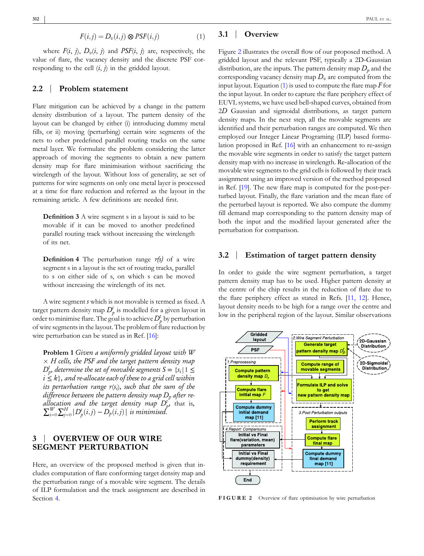$$
F(i,j) = D_v(i,j) \otimes PSF(i,j)
$$
 (1)

where  $F(i, j)$ ,  $D_v(i, j)$  and  $PSF(i, j)$  are, respectively, the value of flare, the vacancy density and the discrete PSF corresponding to the cell  $(i, j)$  in the gridded layout.

#### **2.2** | **Problem statement**

Flare mitigation can be achieved by a change in the pattern density distribution of a layout. The pattern density of the layout can be changed by either (i) introducing dummy metal fills, or ii) moving (perturbing) certain wire segments of the nets to other predefined parallel routing tracks on the same metal layer. We formulate the problem considering the latter approach of moving the segments to obtain a new pattern density map for flare minimisation without sacrificing the wirelength of the layout. Without loss of generality, ae set of patterns for wire segments on only one metal layer is processed at a time for flare reduction and referred as the layout in the remaining article. A few definitions are needed first.

**Definition 3** A wire segment s in a layout is said to be movable if it can be moved to another predefined parallel routing track without increasing the wirelength of its net.

**Definition 4** The perturbation range *r(s)* of a wire segment s in a layout is the set of routing tracks, parallel to s on either side of s, on which s can be moved without increasing the wirelength of its net.

A wire segment *s* which is not movable is termed as fixed. A target pattern density map  $D_p^t$  is modelled for a given layout in order to minimise flare. The goal is to achieve  $D^t_p$  by perturbation of wire segments in the layout. The problem of flare reduction by wire perturbation can be stated as in Ref. [16]:

**Problem 1** *Given a uniformly gridded layout with W*  $\times$  *H* cells, the PSF and the target pattern density map *D*<sup>*t*</sup><sub>*p*</sub>, determine the set of movable segments S = {s<sub>*i*</sub>|1  $\le$  $i \leq k$ , and re-allocate each of these to a grid cell within *its perturbation range r*(*s<sup>i</sup>* )*, such that the sum of the difference between the pattern density map D<sup>p</sup> after re‐ allocation and the target density map*  $D_p^t$ , that is,  $\sum_{i=0}^{W} \sum_{j=0}^{H} |D_{p}^{t}(i,j) - D_{p}^{t}(i,j)|$  is minimised.

## **3** | **OVERVIEW OF OUR WIRE SEGMENT PERTURBATION**

Here, an overview of the proposed method is given that includes computation of flare conforming target density map and the perturbation range of a movable wire segment. The details of ILP formulation and the track assignment are described in Section 4.

## **3.1** | **Overview**

Figure 2 illustrates the overall flow of our proposed method. A gridded layout and the relevant PSF, typically a 2D‐Gaussian distribution, are the inputs. The pattern density map  $D_p$  and the corresponding vacancy density map  $D_v$  are computed from the input layout. Equation (1) is used to compute the flare map *F* for the input layout. In order to capture the flare periphery effect of EUVL systems, we have used bell‐shaped curves, obtained from 2*D* Gaussian and sigmoidal distributions, as target pattern density maps. In the next step, all the movable segments are identified and their perturbation ranges are computed. We then employed our Integer Linear Programing (ILP) based formulation proposed in Ref. [16] with an enhancement to re-assign the movable wire segments in order to satisfy the target pattern density map with no increase in wirelength. Re‐allocation of the movable wire segments to the grid cells is followed by their track assignment using an improved version of the method proposed in Ref. [19]. The new flare map is computed for the post-perturbed layout. Finally, the flare variation and the mean flare of the perturbed layout is reported. We also compute the dummy fill demand map corresponding to the pattern density map of both the input and the modified layout generated after the perturbation for comparison.

#### **3.2** | **Estimation of target pattern density**

In order to guide the wire segment perturbation, a target pattern density map has to be used. Higher pattern density at the centre of the chip results in the reduction of flare due to the flare periphery effect as stated in Refs. [11, 12]. Hence, layout density needs to be high for a range over the centre and low in the peripheral region of the layout. Similar observations



**FIGURE 2** Overview of flare optimisation by wire perturbation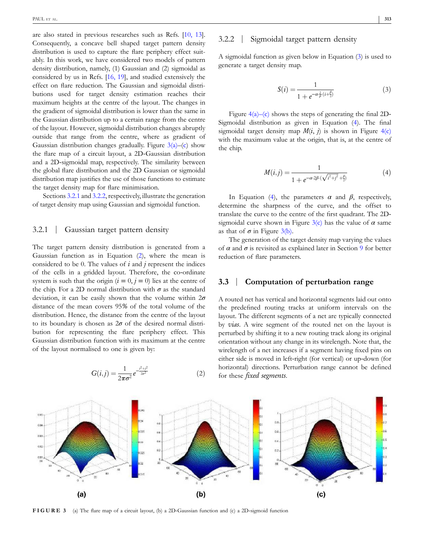are also stated in previous researches such as Refs. [10, 13]. Consequently, a concave bell shaped target pattern density distribution is used to capture the flare periphery effect suitably. In this work, we have considered two models of pattern density distribution, namely, (1) Gaussian and (2) sigmoidal as considered by us in Refs. [16, 19], and studied extensively the effect on flare reduction. The Gaussian and sigmoidal distributions used for target density estimation reaches their maximum heights at the centre of the layout. The changes in the gradient of sigmoidal distribution is lower than the same in the Gaussian distribution up to a certain range from the centre of the layout. However, sigmoidal distribution changes abruptly outside that range from the centre, where as gradient of Gaussian distribution changes gradually. Figure  $3(a)$ –(c) show the flare map of a circuit layout, a 2D‐Gaussian distribution and a 2D‐sigmoidal map, respectively. The similarity between the global flare distribution and the 2D Gaussian or sigmoidal distribution map justifies the use of those functions to estimate the target density map for flare minimisation.

Sections 3.2.1 and 3.2.2, respectively, illustrate the generation of target density map using Gaussian and sigmoidal function.

#### 3.2.1 | Gaussian target pattern density

The target pattern density distribution is generated from a Gaussian function as in Equation (2), where the mean is considered to be 0. The values of *i* and *j* represent the indices of the cells in a gridded layout. Therefore, the co‐ordinate system is such that the origin  $(i = 0, j = 0)$  lies at the centre of the chip. For a 2D normal distribution with  $\sigma$  as the standard deviation, it can be easily shown that the volume within 2*σ* distance of the mean covers 95*%* of the total volume of the distribution. Hence, the distance from the centre of the layout to its boundary is chosen as  $2\sigma$  of the desired normal distribution for representing the flare periphery effect. This Gaussian distribution function with its maximum at the centre of the layout normalised to one is given by:

$$
G(i,j) = \frac{1}{2\pi\sigma^2} e^{-\frac{i^2 + j^2}{2\sigma^2}}
$$
 (2)

## 3.2.2 | Sigmoidal target pattern density

A sigmoidal function as given below in Equation (3) is used to generate a target density map.

$$
S(i) = \frac{1}{1 + e^{-\alpha \frac{2}{\beta}(i + \frac{\beta}{2})}}
$$
(3)

Figure  $4(a)$ –(c) shows the steps of generating the final 2D– Sigmoidal distribution as given in Equation (4). The final sigmoidal target density map  $M(i, j)$  is shown in Figure 4(c) with the maximum value at the origin, that is, at the centre of the chip.

$$
M(i,j) = \frac{1}{1 + e^{-\alpha \cdot 2\beta \cdot (\sqrt{i^2 + j^2} + \frac{\beta}{2})}}
$$
(4)

In Equation (4), the parameters  $\alpha$  and  $\beta$ , respectively, determine the sharpness of the curve, and the offset to translate the curve to the centre of the first quadrant. The 2D‐ sigmoidal curve shown in Figure  $3(c)$  has the value of  $\alpha$  same as that of  $\sigma$  in Figure 3(b).

The generation of the target density map varying the values of  $\alpha$  and  $\sigma$  is revisited as explained later in Section 9 for better reduction of flare parameters.

## **3.3** | **Computation of perturbation range**

A routed net has vertical and horizontal segments laid out onto the predefined routing tracks at uniform intervals on the layout. The different segments of a net are typically connected by *vias*. A wire segment of the routed net on the layout is perturbed by shifting it to a new routing track along its original orientation without any change in its wirelength. Note that, the wirelength of a net increases if a segment having fixed pins on either side is moved in left‐right (for vertical) or up‐down (for horizontal) directions. Perturbation range cannot be defined for these *fixed segments*.



**FIGURE 3** (a) The flare map of a circuit layout, (b) a 2D–Gaussian function and (c) a 2D–sigmoid function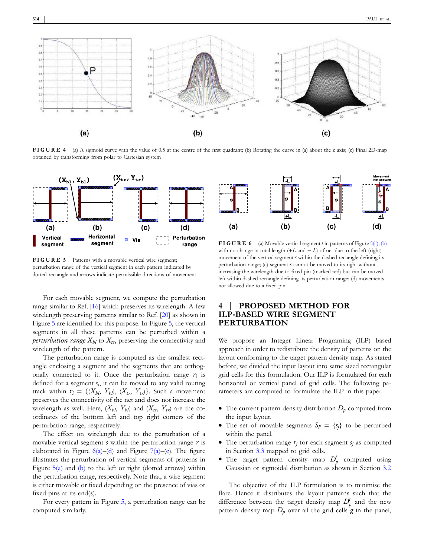![](_page_4_Figure_1.jpeg)

**FIGURE 4** (a) A sigmoid curve with the value of 0.5 at the centre of the first quadrant; (b) Rotating the curve in (a) about the *z* axis; (c) Final 2D-map obtained by transforming from polar to Cartesian system

![](_page_4_Figure_3.jpeg)

**FIGURE 5** Patterns with a movable vertical wire segment; perturbation range of the vertical segment in each pattern indicated by dotted rectangle and arrows indicate permissible directions of movement

For each movable segment, we compute the perturbation range similar to Ref. [16] which preserves its wirelength. A few wirelength preserving patterns similar to Ref. [20] as shown in Figure 5 are identified for this purpose. In Figure 5, the vertical segments in all these patterns can be perturbed within a *perturbation range*  $X_{bl}$  to  $X_{tr}$ , preserving the connectivity and wirelength of the pattern.

The perturbation range is computed as the smallest rectangle enclosing a segment and the segments that are orthogonally connected to it. Once the perturbation range  $r_i$  is defined for a segment *s<sup>i</sup>* , it can be moved to any valid routing track within  $r_i = \{(X_{bl}, Y_{bl}), (X_{tr}, Y_{tr})\}$ . Such a movement preserves the connectivity of the net and does not increase the wirelength as well. Here,  $(X_{bl}, Y_{bl})$  and  $(X_{tr}, Y_{tr})$  are the coordinates of the bottom left and top right corners of the perturbation range, respectively.

The effect on wirelength due to the perturbation of a movable vertical segment *s* within the perturbation range *r* is elaborated in Figure  $6(a)$ –(d) and Figure 7(a)–(c). The figure illustrates the perturbation of vertical segments of patterns in Figure  $5(a)$  and (b) to the left or right (dotted arrows) within the perturbation range, respectively. Note that, a wire segment is either movable or fixed depending on the presence of vias or fixed pins at its end(s).

For every pattern in Figure 5, a perturbation range can be computed similarly.

![](_page_4_Figure_9.jpeg)

**FIGURE 6** (a) Movable vertical segment *s* in patterns of Figure 5(a); (b) with no change in total length  $(+L \text{ and } -L)$  of net due to the left (right) movement of the vertical segment *s* within the dashed rectangle defining its perturbation range; (c) segment *s* cannot be moved to its right without increasing the wirelength due to fixed pin (marked red) but can be moved left within dashed rectangle defining its perturbation range; (d) movements not allowed due to a fixed pin

## **4** | **PROPOSED METHOD FOR ILP‐BASED WIRE SEGMENT PERTURBATION**

We propose an Integer Linear Programing (ILP) based approach in order to redistribute the density of patterns on the layout conforming to the target pattern density map. As stated before, we divided the input layout into same sized rectangular grid cells for this formulation. Our ILP is formulated for each horizontal or vertical panel of grid cells. The following parameters are computed to formulate the ILP in this paper.

- $\bullet$  The current pattern density distribution  $D_p$  computed from the input layout.
- The set of movable segments  $S_P = \{s_i\}$  to be perturbed within the panel.
- The perturbation range  $r_j$  for each segment  $s_j$  as computed in Section 3.3 mapped to grid cells.
- The target pattern density map  $D_p^t$  computed using Gaussian or sigmoidal distribution as shown in Section 3.2

The objective of the ILP formulation is to minimise the flare. Hence it distributes the layout patterns such that the difference between the target density map  $D_p^t$  and the new pattern density map  $D_p$  over all the grid cells  $g$  in the panel,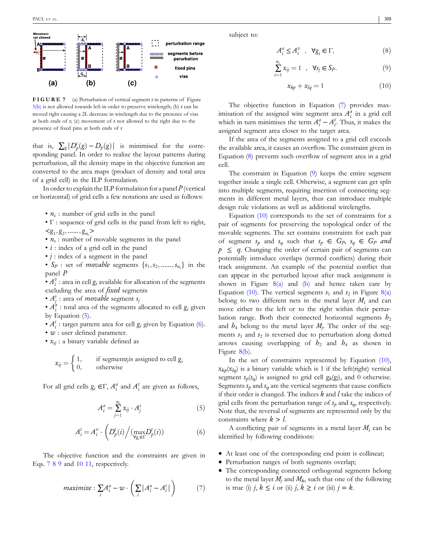![](_page_5_Figure_1.jpeg)

**FIGURE 7** (a) Perturbation of vertical segment *s* in patterns of Figure 5(b) is not allowed towards left in order to preserve wirelength; (b) *s* can be moved right causing a 2L decrease in wirelength due to the presence of vias at both ends of *s*; (c) movement of *s* not allowed to the right due to the presence of fixed pins at both ends of *s*

that is,  $\sum_{g} |D_p^t(g) - D_p(g)|$  is minimised for the corresponding panel. In order to realize the layout patterns during perturbation, all the density maps in the objective function are converted to the area maps (product of density and total area of a grid cell) in the ILP formulation.

In order to explain the ILP formulation for a panel *P* (vertical or horizontal) of grid cells a few notations are used as follows:

• *n<sup>c</sup>* : number of grid cells in the panel

- Γ : sequence of grid cells in the panel from left to right,  $\langle g_1, g_2, \ldots, g_{n_c} \rangle$
- *n<sup>s</sup>* : number of movable segments in the panel
- *i* : index of a grid cell in the panel
- *j* : index of a segment in the panel

•  $S_p$ : set of *movable* segments  $\{s_1, s_2, \ldots, s_{n_s}\}$  in the panel *P*

•  $A_i^v$  : area in cell  $g_i$  available for allocation of the segments excluding the area of *fixed* segments

• *A s j* : area of *movable* segment *s<sup>j</sup>*

•  $A_i^a$ : total area of the segments allocated to cell  $g_i$  given by Equation (5).

- $A_i^t$ : target pattern area for cell  $g_i$  given by Equation (6).
- *w* : user defined parameter.
- *xij* : a binary variable defined as

$$
x_{ij} = \begin{cases} 1, & \text{if segments}_{j} \text{is assigned to cell } g_i \\ 0, & \text{otherwise} \end{cases}
$$

For all grid cells  $g_i \in \Gamma$ ,  $A_i^a$  and  $A_i^t$  are given as follows,

$$
A_i^a = \sum_{j=1}^{n_s} x_{ij} \cdot A_j^s \tag{5}
$$

$$
A_i^t = A_i^v \cdot \left( D_p^t(i) \Big/ (\max_{\forall g_i \in \Gamma} D_p^t(i)) \right) \tag{6}
$$

The objective function and the constraints are given in Eqs. 7 8 9 and 10 11, respectively.

$$
maximize: \sum_{i} A_i^a - w \cdot \left(\sum_{i} |A_i^a - A_i^t|\right) \tag{7}
$$

subject to:

$$
A_i^a \le A_i^v \quad , \quad \forall g_i \in \Gamma,
$$
 (8)

$$
\sum_{i=1}^{n_c} x_{ij} = 1 \quad , \quad \forall s_j \in S_P. \tag{9}
$$

$$
x_{kp} + x_{lq} = 1 \tag{10}
$$

The objective function in Equation (7) provides maximisation of the assigned wire segment area  $A_i^a$  in a grid cell which in turn minimises the term  $A_i^a - A_i^t$ . Thus, it makes the assigned segment area closer to the target area.

If the area of the segments assigned to a grid cell exceeds the available area, it causes an overflow. The constraint given in Equation (8) prevents such overflow of segment area in a grid cell.

The constraint in Equation (9) keeps the entire segment together inside a single cell. Otherwise, a segment can get split into multiple segments, requiring insertion of connecting segments in different metal layers, thus can introduce multiple design rule violations as well as additional wirelengths.

Equation (10) corresponds to the set of constraints for a pair of segments for preserving the topological order of the movable segments. The set contains constraints for each pair of segment  $s_p$  and  $s_q$  such that  $s_p \in G_p$ ,  $s_q \in G_p$  and  $p \leq q$ . Changing the order of certain pair of segments can potentially introduce overlaps (termed conflicts) during their track assignment. An example of the potential conflict that can appear in the perturbed layout after track assignment is shown in Figure  $8(a)$  and (b) and hence taken care by Equation (10). The vertical segments  $s_1$  and  $s_2$  in Figure 8(a) belong to two different nets in the metal layer  $M_i$  and can move either to the left or to the right within their perturbation range. Both their connected horizontal segments  $h_2$ and  $h_4$  belong to the metal layer  $M_j$ . The order of the segments  $s_1$  and  $s_2$  is reversed due to perturbation along dotted arrows causing overlapping of  $h_2$  and  $h_4$  as shown in Figure 8(b).

In the set of constraints represented by Equation (10),  $x_{kp}(x_{lq})$  is a binary variable which is 1 if the left(right) vertical segment  $s_p(s_q)$  is assigned to grid cell  $g_k(g_l)$ , and 0 otherwise. Segments  $s_p$  and  $s_q$  are the vertical segments that cause conflicts if their order is changed. The indices *k* and *l* take the indices of grid cells from the perturbation range of  $s_p$  and  $s_q$ , respectively. Note that, the reversal of segments are represented only by the constraints where  $k > l$ .

A conflicting pair of segments in a metal layer  $M_i$  can be identified by following conditions:

- � At least one of the corresponding end point is collinear;
- � Perturbation ranges of both segments overlap;
- � The corresponding connected orthogonal segments belong to the metal layer  $M_i$  and  $M_k$ , such that one of the following is true (i)  $j, k \leq i$  or (ii)  $j, k \geq i$  or (iii)  $j = k$ .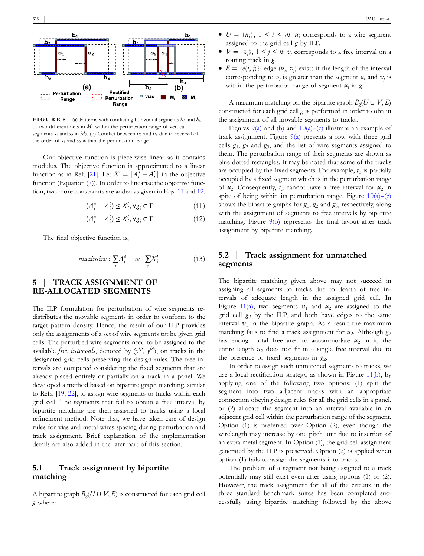![](_page_6_Figure_1.jpeg)

**FIGURE 8** (a) Patterns with conflicting horizontal segments  $h_2$  and  $h_4$ of two different nets in  $M_1$  within the perturbation range of vertical segments  $s_1$  and  $s_2$  in  $M_2$ . (b) Conflict between  $h_2$  and  $h_4$  due to reversal of the order of  $s_1$  and  $s_2$  within the perturbation range

Our objective function is piece‐wise linear as it contains modulus. The objective function is approximated to a linear function as in Ref. [21]. Let  $X' = |A_i^a - A_i^t|$  in the objective function (Equation (7)). In order to linearise the objective function, two more constraints are added as given in Eqs. 11 and 12.

$$
(A_i^a - A_i^t) \le X_i', \forall g_i \in \Gamma \tag{11}
$$

$$
-(A_i^a - A_i^t) \le X_i', \forall g_i \in \Gamma
$$
\n<sup>(12)</sup>

The final objective function is,

$$
maximize: \sum_{i} A_i^a - w \cdot \sum_{i} X_i'
$$
 (13)

## **5** | **TRACK ASSIGNMENT OF RE‐ALLOCATED SEGMENTS**

The ILP formulation for perturbation of wire segments redistributes the movable segments in order to conform to the target pattern density. Hence, the result of our ILP provides only the assignments of a set of wire segments tot he given grid cells. The perturbed wire segments need to be assigned to the available *free intervals*, denoted by  $(y^{tp}, y^{bt})$ , on tracks in the designated grid cells preserving the design rules. The free intervals are computed considering the fixed segments that are already placed entirely or partially on a track in a panel. We developed a method based on bipartite graph matching, similar to Refs. [19, 22], to assign wire segments to tracks within each grid cell. The segments that fail to obtain a free interval by bipartite matching are then assigned to tracks using a local refinement method. Note that, we have taken care of design rules for vias and metal wires spacing during perturbation and track assignment. Brief explanation of the implementation details are also added in the later part of this section.

#### **5.1** | **Track assignment by bipartite matching**

A bipartite graph  $B_g(U \cup V, E)$  is constructed for each grid cell *g* where:

- $\bullet$   $U = \{u_i\}, 1 \leq i \leq m$ :  $u_i$  corresponds to a wire segment assigned to the grid cell *g* by ILP.
- $\bullet$   $V = \{v_i\}, 1 \leq j \leq n$ :  $v_j$  corresponds to a free interval on a routing track in *g*.
- $E = \{e(i, j)\}\colon \text{edge}(u_i, v_j) \text{ exists if the length of the interval }$ corresponding to  $v_j$  is greater than the segment  $u_i$  and  $v_j$  is within the perturbation range of segment *u<sup>i</sup>* in *g*.

A maximum matching on the bipartite graph  $B_g(U \cup V, E)$ constructed for each grid cell *g* is performed in order to obtain the assignment of all movable segments to tracks.

Figures  $9(a)$  and (b) and  $10(a)$ –(c) illustrate an example of track assignment. Figure  $9(a)$  presents a row with three grid cells *g*<sup>1</sup> , *g*<sup>2</sup> and *g*<sup>3</sup> , and the list of wire segments assigned to them. The perturbation range of their segments are shown as blue dotted rectangles. It may be noted that some of the tracks are occupied by the fixed segments. For example,  $t_3$  is partially occupied by a fixed segment which is in the perturbation range of  $u_2$ . Consequently,  $t_3$  cannot have a free interval for  $u_2$  in spite of being within its perturbation range. Figure  $10(a)$ –(c) shows the bipartite graphs for *g*<sup>1</sup> , *g*<sup>2</sup> and *g*<sup>3</sup> , respectively, along with the assignment of segments to free intervals by bipartite matching. Figure 9(b) represents the final layout after track assignment by bipartite matching.

#### **5.2** | **Track assignment for unmatched segments**

The bipartite matching given above may not succeed in assigning all segments to tracks due to dearth of free intervals of adequate length in the assigned grid cell. In Figure 11(a), two segments  $u_1$  and  $u_2$  are assigned to the grid cell *g*<sup>2</sup> by the ILP, and both have edges to the same interval  $v_1$  in the bipartite graph. As a result the maximum matching fails to find a track assignment for  $u_2$ . Although  $g_2$ has enough total free area to accommodate  $u_2$  in it, the entire length  $u_2$  does not fit in a single free interval due to the presence of fixed segments in  $g_2$ .

In order to assign such unmatched segments to tracks, we use a local rectification strategy, as shown in Figure 11(b), by applying one of the following two options: (1) split the segment into two adjacent tracks with an appropriate connection obeying design rules for all the grid cells in a panel, or (2) allocate the segment into an interval available in an adjacent grid cell within the perturbation range of the segment. Option (1) is preferred over Option (2), even though the wirelength may increase by one pitch unit due to insertion of an extra metal segment. In Option (1), the grid cell assignment generated by the ILP is preserved. Option (2) is applied when option (1) fails to assign the segments into tracks.

The problem of a segment not being assigned to a track potentially may still exist even after using options (1) or (2). However, the track assignment for all of the circuits in the three standard benchmark suites has been completed successfully using bipartite matching followed by the above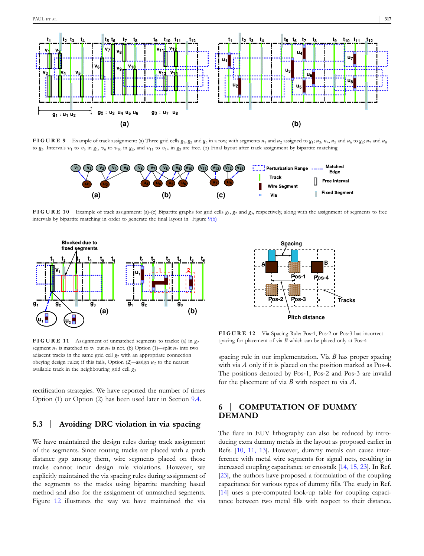![](_page_7_Figure_1.jpeg)

**FIGURE 9** Example of track assignment: (a) Three grid cells  $g_1, g_2$  and  $g_3$  in a row, with segments  $u_1$  and  $u_2$  assigned to  $g_1$ ;  $u_3$ ,  $u_4$ ,  $u_5$  and  $u_6$  to  $g_2$ ;  $u_7$  and  $u_8$ to  $g_3$ . Intervals  $v_1$  to  $v_5$  in  $g_1$ ,  $v_6$  to  $v_{10}$  in  $g_2$ , and  $v_{11}$  to  $v_{14}$  in  $g_3$  are free. (b) Final layout after track assignment by bipartite matching

![](_page_7_Figure_3.jpeg)

**FIGURE 10** Example of track assignment: (a)-(c) Bipartite graphs for grid cells  $g_1$ ,  $g_2$  and  $g_3$ , respectively, along with the assignment of segments to free intervals by bipartite matching in order to generate the final layout in Figure 9(b)

![](_page_7_Figure_5.jpeg)

**FIGURE 11** Assignment of unmatched segments to tracks: (a) in *g*<sup>2</sup> segment  $u_1$  is matched to  $v_1$  but  $u_2$  is not. (b) Option (1)—split  $u_2$  into two adjacent tracks in the same grid cell *g*<sup>2</sup> with an appropriate connection obeying design rules; if this fails, Option (2)―assign *u*<sup>2</sup> to the nearest available track in the neighbouring grid cell *g*<sup>3</sup>

rectification strategies. We have reported the number of times Option (1) or Option (2) has been used later in Section 9.4.

#### **5.3** | **Avoiding DRC violation in via spacing**

We have maintained the design rules during track assignment of the segments. Since routing tracks are placed with a pitch distance gap among them, wire segments placed on those tracks cannot incur design rule violations. However, we explicitly maintained the via spacing rules during assignment of the segments to the tracks using bipartite matching based method and also for the assignment of unmatched segments. Figure 12 illustrates the way we have maintained the via

![](_page_7_Figure_10.jpeg)

**FIGURE 12** Via Spacing Rule: Pos‐1, Pos‐2 or Pos‐3 has incorrect spacing for placement of via *B* which can be placed only at Pos-4

spacing rule in our implementation. Via *B* has proper spacing with via  $A$  only if it is placed on the position marked as Pos-4. The positions denoted by Pos‐1, Pos‐2 and Pos‐3 are invalid for the placement of via *B* with respect to via *A*.

## **6** | **COMPUTATION OF DUMMY DEMAND**

The flare in EUV lithography can also be reduced by introducing extra dummy metals in the layout as proposed earlier in Refs. [10, 11, 13]. However, dummy metals can cause interference with metal wire segments for signal nets, resulting in increased coupling capacitance or crosstalk [14, 15, 23]. In Ref. [23], the authors have proposed a formulation of the coupling capacitance for various types of dummy fills. The study in Ref. [14] uses a pre-computed look-up table for coupling capacitance between two metal fills with respect to their distance.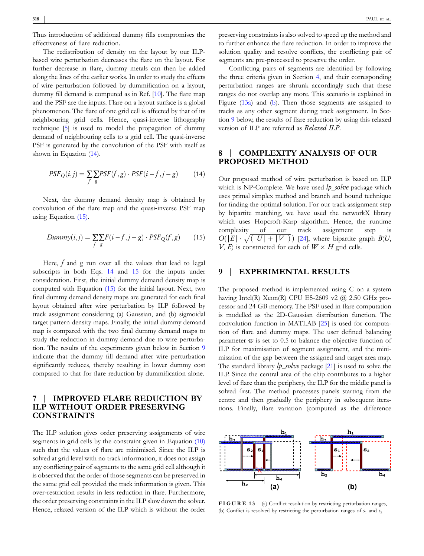Thus introduction of additional dummy fills compromises the effectiveness of flare reduction.

The redistribution of density on the layout by our ILP‐ based wire perturbation decreases the flare on the layout. For further decrease in flare, dummy metals can then be added along the lines of the earlier works. In order to study the effects of wire perturbation followed by dummification on a layout, dummy fill demand is computed as in Ref. [10]. The flare map and the PSF are the inputs. Flare on a layout surface is a global phenomenon. The flare of one grid cell is affected by that of its neighbouring grid cells. Hence, quasi‐inverse lithography technique [5] is used to model the propagation of dummy demand of neighbouring cells to a grid cell. The quasi‐inverse PSF is generated by the convolution of the PSF with itself as shown in Equation (14).

$$
PSF_Q(i,j) = \sum_{f} \sum_{g} PSF(f,g) \cdot PSF(i - f, j - g) \tag{14}
$$

Next, the dummy demand density map is obtained by convolution of the flare map and the quasi-inverse PSF map using Equation (15).

$$
Dummy(i,j) = \sum_{f} \sum_{g} F(i - f, j - g) \cdot PSF_Q(f, g) \tag{15}
$$

Here, *f* and *g* run over all the values that lead to legal subscripts in both Eqs. 14 and 15 for the inputs under consideration. First, the initial dummy demand density map is computed with Equation (15) for the initial layout. Next, two final dummy demand density maps are generated for each final layout obtained after wire perturbation by ILP followed by track assignment considering (a) Gaussian, and (b) sigmoidal target pattern density maps. Finally, the initial dummy demand map is compared with the two final dummy demand maps to study the reduction in dummy demand due to wire perturbation. The results of the experiments given below in Section 9 indicate that the dummy fill demand after wire perturbation significantly reduces, thereby resulting in lower dummy cost compared to that for flare reduction by dummification alone.

#### **7** | **IMPROVED FLARE REDUCTION BY ILP WITHOUT ORDER PRESERVING CONSTRAINTS**

The ILP solution gives order preserving assignments of wire segments in grid cells by the constraint given in Equation (10) such that the values of flare are minimised. Since the ILP is solved at grid level with no track information, it does not assign any conflicting pair of segments to the same grid cell although it is observed that the order of those segments can be preserved in the same grid cell provided the track information is given. This over‐restriction results in less reduction in flare. Furthermore, the order preserving constraints in the ILP slow down the solver. Hence, relaxed version of the ILP which is without the order preserving constraints is also solved to speed up the method and to further enhance the flare reduction. In order to improve the solution quality and resolve conflicts, the conflicting pair of segments are pre‐processed to preserve the order.

Conflicting pairs of segments are identified by following the three criteria given in Section 4, and their corresponding perturbation ranges are shrunk accordingly such that these ranges do not overlap any more. This scenario is explained in Figure (13a) and (b). Then those segments are assigned to tracks as any other segment during track assignment. In Section 9 below, the results of flare reduction by using this relaxed version of ILP are referred as *Relaxed ILP*.

### **8** | **COMPLEXITY ANALYSIS OF OUR PROPOSED METHOD**

Our proposed method of wire perturbation is based on ILP which is NP‐Complete. We have used *lp*\_*solve* package which uses primal simplex method and branch and bound technique for finding the optimal solution. For our track assignment step by bipartite matching, we have used the networkX library which uses Hopcroft-Karp algorithm. Hence, the runtime complexity of our track assignment step is  $O(|E| \cdot \sqrt{(|U| + |V|)})$  [24], where bipartite graph *B*(*U*,  $V, E$  is constructed for each of  $W \times H$  grid cells.

#### **9** | **EXPERIMENTAL RESULTS**

The proposed method is implemented using C on a system having Intel(R) Xeon(R) CPU E5-2609 v2  $@$  2.50 GHz processor and 24 GB memory. The PSF used in flare computation is modelled as the 2D‐Gaussian distribution function. The convolution function in MATLAB [25] is used for computation of flare and dummy maps. The user defined balancing parameter *w* is set to 0.5 to balance the objective function of ILP for maximisation of segment assignment, and the minimisation of the gap between the assigned and target area map. The standard library *lp*\_*solve* package [21] is used to solve the ILP. Since the central area of the chip contributes to a higher level of flare than the periphery, the ILP for the middle panel is solved first. The method processes panels starting from the centre and then gradually the periphery in subsequent iterations. Finally, flare variation (computed as the difference

![](_page_8_Figure_16.jpeg)

**FIGURE 13** (a) Conflict resolution by restricting perturbation ranges, (b) Conflict is resolved by restricting the perturbation ranges of  $s_1$  and  $s_2$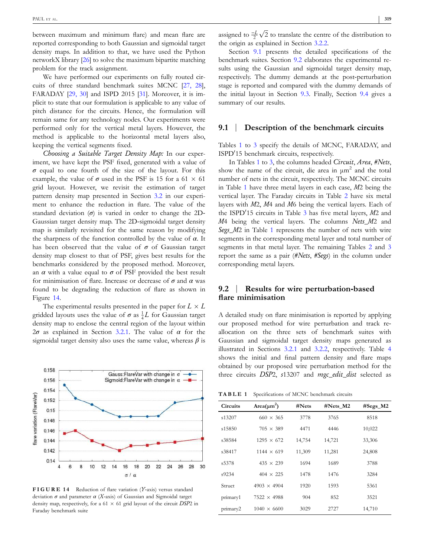between maximum and minimum flare) and mean flare are reported corresponding to both Gaussian and sigmoidal target density maps. In addition to that, we have used the Python networkX library [26] to solve the maximum bipartite matching problem for the track assignment.

We have performed our experiments on fully routed circuits of three standard benchmark suites MCNC [27, 28], FARADAY [29, 30] and ISPD 2015 [31]. Moreover, it is implicit to state that our formulation is applicable to any value of pitch distance for the circuits. Hence, the formulation will remain same for any technology nodes. Our experiments were performed only for the vertical metal layers. However, the method is applicable to the horizontal metal layers also, keeping the vertical segments fixed.

*Choosing a Suitable Target Density Map:* In our experiment, we have kept the PSF fixed, generated with a value of  $\sigma$  equal to one fourth of the size of the layout. For this example, the value of  $\sigma$  used in the PSF is 15 for a 61  $\times$  61 grid layout. However, we revisit the estimation of target pattern density map presented in Section 3.2 in our experiment to enhance the reduction in flare. The value of the standard deviation  $(\sigma)$  is varied in order to change the 2D-Gaussian target density map. The 2D‐sigmoidal target density map is similarly revisited for the same reason by modifying the sharpness of the function controlled by the value of *α*. It has been observed that the value of  $\sigma$  of Gaussian target density map closest to that of PSF, gives best results for the benchmarks considered by the proposed method. Moreover, an  $\alpha$  with a value equal to  $\sigma$  of PSF provided the best result for minimisation of flare. Increase or decrease of *σ* and *α* was found to be degrading the reduction of flare as shown in Figure 14.

The experimental results presented in the paper for  $L \times L$ gridded layouts uses the value of  $\sigma$  as  $\frac{1}{4}L$  for Gaussian target density map to enclose the central region of the layout within 2*σ* as explained in Section 3.2.1. The value of *α* for the sigmoidal target density also uses the same value, whereas *β* is

![](_page_9_Figure_5.jpeg)

**FIGURE 14** Reduction of flare variation (*Y*‐axis) versus standard deviation  $\sigma$  and parameter  $\alpha$  (*X*-axis) of Gaussian and Sigmoidal target density map, respectively, for a  $61 \times 61$  grid layout of the circuit *DSP*2 in Faraday benchmark suite

assigned to  $\frac{-L}{2}\sqrt{2}$  to translate the centre of the distribution to the origin as explained in Section 3.2.2.

Section 9.1 presents the detailed specifications of the benchmark suites. Section 9.2 elaborates the experimental results using the Gaussian and sigmoidal target density map, respectively. The dummy demands at the post‐perturbation stage is reported and compared with the dummy demands of the initial layout in Section 9.3. Finally, Section 9.4 gives a summary of our results.

#### **9.1** | **Description of the benchmark circuits**

Tables 1 to 3 specify the details of MCNC, FARADAY, and ISPD'15 benchmark circuits, respectively.

In Tables 1 to 3, the columns headed *Circuit*, *Area*, *#Nets*, show the name of the circuit, die area in  $\mu$ m<sup>2</sup> and the total number of nets in the circuit, respectively. The MCNC circuits in Table 1 have three metal layers in each case, *M*2 being the vertical layer. The Faraday circuits in Table 2 have six metal layers with *M*2, *M*4 and *M*6 being the vertical layers. Each of the ISPD<sup>'</sup>15 circuits in Table 3 has five metal layers, *M*2 and *M*4 being the vertical layers. The columns *Nets*\_*M*2 and *Segs*\_*M*2 in Table 1 represents the number of nets with wire segments in the corresponding metal layer and total number of segments in that metal layer. The remaining Tables 2 and 3 report the same as a pair (*#Nets*, *#Segs*) in the column under corresponding metal layers.

#### **9.2** | **Results for wire perturbation‐based flare minimisation**

A detailed study on flare minimisation is reported by applying our proposed method for wire perturbation and track re‐ allocation on the three sets of benchmark suites with Gaussian and sigmoidal target density maps generated as illustrated in Sections 3.2.1 and 3.2.2, respectively. Table 4 shows the initial and final pattern density and flare maps obtained by our proposed wire perturbation method for the three circuits *DSP*2, *s*13207 and *mgc*\_*edit*\_*dist* selected as

**TABLE 1** Specifications of MCNC benchmark circuits

| <b>Circuits</b> | $Area(\mu m^2)$    | #Nets  | #Nets M2 | $#Segs_M2$ |
|-----------------|--------------------|--------|----------|------------|
| s13207          | $660 \times 365$   | 3778   | 3765     | 8518       |
| s15850          | $705 \times 389$   | 4471   | 4446     | 10,022     |
| s38584          | $1295 \times 672$  | 14,754 | 14,721   | 33,306     |
| s38417          | $1144 \times 619$  | 11,309 | 11,281   | 24,808     |
| s5378           | $435 \times 239$   | 1694   | 1689     | 3788       |
| s9234           | $404 \times 225$   | 1478   | 1476     | 3284       |
| Struct          | $4903 \times 4904$ | 1920   | 1593     | 5361       |
| primary1        | $7522 \times 4988$ | 904    | 852      | 3521       |
| primary2        | $1040 \times 6600$ | 3029   | 2727     | 14,710     |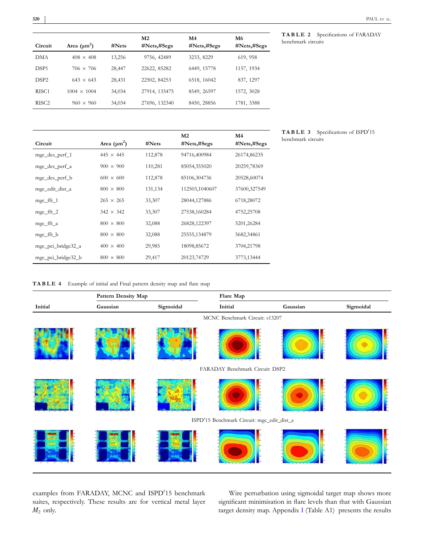|                    | <b>TABLE 2</b> Specifications of FARADAY |  |
|--------------------|------------------------------------------|--|
| benchmark circuits |                                          |  |

| Circuit           | Area $(\mu m^2)$   | #Nets  | M2<br>#Nets,#Segs | M4<br>#Nets,#Segs | M6<br>$\#Nets, \#Segs$ |
|-------------------|--------------------|--------|-------------------|-------------------|------------------------|
| DMA               | $408 \times 408$   | 13,256 | 9756, 42489       | 3233, 8229        | 619, 958               |
| DSP <sub>1</sub>  | $706 \times 706$   | 28,447 | 22622, 85282      | 6449, 15778       | 1157, 1934             |
| DSP <sub>2</sub>  | $643 \times 643$   | 28,431 | 22502, 84253      | 6518, 16042       | 837, 1297              |
| RISC <sub>1</sub> | $1004 \times 1004$ | 34,034 | 27914, 133475     | 8549, 26597       | 1572, 3028             |
| RISC2             | $960 \times 960$   | 34,034 | 27696, 132340     | 8450, 28856       | 1781, 3388             |
|                   |                    |        |                   |                   |                        |

| Circuit              | Area $(\mu m^2)$ | $\#Nets$ | M <sub>2</sub><br>#Nets,#Segs | M4<br>#Nets,#Segs |
|----------------------|------------------|----------|-------------------------------|-------------------|
| mgc_des_perf_1       | $445 \times 445$ | 112,878  | 94716,400984                  | 26174,86235       |
| mgc_des_perf_a       | $900 \times 900$ | 110,281  | 85054,355020                  | 20259,78369       |
| mgc_des_perf_b       | $600 \times 600$ | 112,878  | 85106,304736                  | 20528,60074       |
| mgc_edit_dist_a      | $800 \times 800$ | 131,134  | 112503,1040607                | 37600,327549      |
| mgc_fft_1            | $265 \times 265$ | 33,307   | 28044,127886                  | 6718,28072        |
| $mgc_{\text{eff}}$ 2 | $342 \times 342$ | 33,307   | 27538,160284                  | 4752,25708        |
| mgc_fft_a            | $800 \times 800$ | 32,088   | 26828,122397                  | 5201,26284        |
| mgc_fft_b            | $800 \times 800$ | 32,088   | 25555,134879                  | 5682,34861        |
| mgc_pci_bridge32_a   | $400 \times 400$ | 29,985   | 18098,85672                   | 3704,21798        |
| mgc_pci_bridge32_b   | $800 \times 800$ | 29,417   | 20123,74729                   | 3773,13444        |

**TABLE 3** Specifications of ISPD<sup>'</sup>15 benchmark circuits

| <b>TABLE 4</b> Example of initial and Final pattern density map and flare map |
|-------------------------------------------------------------------------------|

|         | Pattern Density Map |                     | Flare Map                                  |          |           |
|---------|---------------------|---------------------|--------------------------------------------|----------|-----------|
| Initial | Gaussian            | Sigmoidal           | Initial                                    | Gaussian | Sigmoidal |
|         |                     |                     | MCNC Benchmark Circuit: s13207             |          |           |
|         |                     |                     |                                            |          |           |
|         |                     |                     | FARADAY Benchmark Circuit: DSP2            |          |           |
|         | 28                  | 10111111<br>18 T. B |                                            |          |           |
|         |                     |                     | ISPD'15 Benchmark Circuit: mgc_edit_dist_a |          |           |
|         |                     |                     |                                            |          |           |

examples from FARADAY, MCNC and ISPD'15 benchmark suites, respectively. These results are for vertical metal layer *M*<sup>2</sup> only.

Wire perturbation using sigmoidal target map shows more significant minimisation in flare levels than that with Gaussian target density map. Appendix I (Table A1) presents the results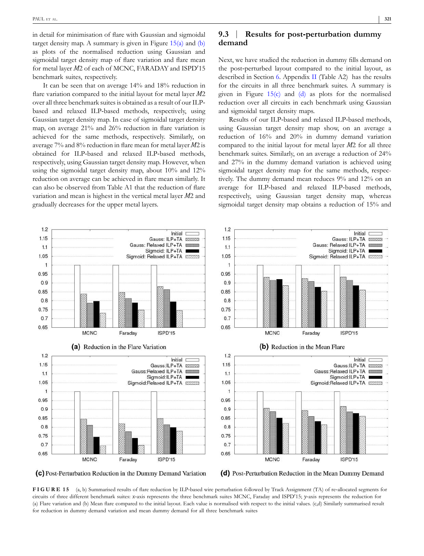in detail for minimisation of flare with Gaussian and sigmoidal target density map. A summary is given in Figure  $15(a)$  and  $(b)$ as plots of the normalised reduction using Gaussian and sigmoidal target density map of flare variation and flare mean for metal layer *M*2 of each of MCNC, FARADAY and ISPD'15 benchmark suites, respectively.

It can be seen that on average 14% and 18% reduction in flare variation compared to the initial layout for metal layer *M*2 over all three benchmark suites is obtained as a result of our ILP‐ based and relaxed ILP‐based methods, respectively, using Gaussian target density map. In case of sigmoidal target density map, on average 21% and 26% reduction in flare variation is achieved for the same methods, respectively. Similarly, on average 7% and 8% reduction in flare mean for metal layer *M*2 is obtained for ILP‐based and relaxed ILP‐based methods, respectively, using Gaussian target density map. However, when using the sigmoidal target density map, about 10% and 12% reduction on average can be achieved in flare mean similarly. It can also be observed from Table A1 that the reduction of flare variation and mean is highest in the vertical metal layer *M*2 and gradually decreases for the upper metal layers.

## **9.3** | **Results for post‐perturbation dummy demand**

Next, we have studied the reduction in dummy fills demand on the post‐perturbed layout compared to the initial layout, as described in Section 6. Appendix II (Table A2) has the results for the circuits in all three benchmark suites. A summary is given in Figure  $15(c)$  and  $(d)$  as plots for the normalised reduction over all circuits in each benchmark using Gaussian and sigmoidal target density maps.

Results of our ILP‐based and relaxed ILP‐based methods, using Gaussian target density map show, on an average a reduction of 16% and 20% in dummy demand variation compared to the initial layout for metal layer *M*2 for all three benchmark suites. Similarly, on an average a reduction of 24% and 27% in the dummy demand variation is achieved using sigmoidal target density map for the same methods, respectively. The dummy demand mean reduces 9% and 12% on an average for ILP‐based and relaxed ILP‐based methods, respectively, using Gaussian target density map, whereas sigmoidal target density map obtains a reduction of 15% and

![](_page_11_Figure_6.jpeg)

(c) Post-Perturbation Reduction in the Dummy Demand Variation

(d) Post-Perturbation Reduction in the Mean Dummy Demand

FIGURE 15 (a, b) Summarised results of flare reduction by ILP-based wire perturbation followed by Track Assignment (TA) of re-allocated segments for circuits of three different benchmark suites: *x*‐axis represents the three benchmark suites MCNC, Faraday and ISPD<sup>1</sup>15; *y*‐axis represents the reduction for (a) Flare variation and (b) Mean flare compared to the initial layout. Each value is normalised with respect to the initial values. (c,d) Similarly summarised result for reduction in dummy demand variation and mean dummy demand for all three benchmark suites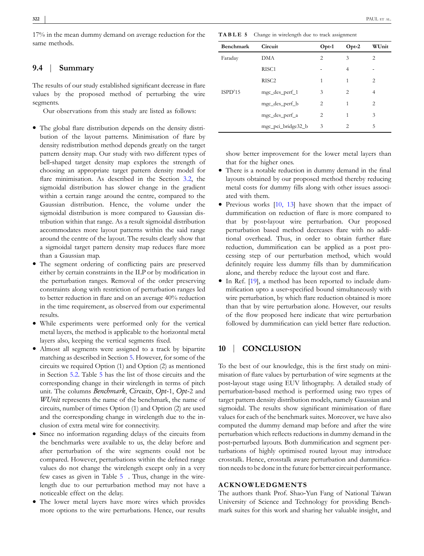17% in the mean dummy demand on average reduction for the same methods.

## **9.4** | **Summary**

The results of our study established significant decrease in flare values by the proposed method of perturbing the wire segments.

Our observations from this study are listed as follows:

- � The global flare distribution depends on the density distribution of the layout patterns. Minimisation of flare by density redistribution method depends greatly on the target pattern density map. Our study with two different types of bell-shaped target density map explores the strength of choosing an appropriate target pattern density model for flare minimisation. As described in the Section 3.2, the sigmoidal distribution has slower change in the gradient within a certain range around the centre, compared to the Gaussian distribution. Hence, the volume under the sigmoidal distribution is more compared to Gaussian distribution within that range. As a result sigmoidal distribution accommodates more layout patterns within the said range around the centre of the layout. The results clearly show that a sigmoidal target pattern density map reduces flare more than a Gaussian map.
- � The segment ordering of conflicting pairs are preserved either by certain constraints in the ILP or by modification in the perturbation ranges. Removal of the order preserving constraints along with restriction of perturbation ranges led to better reduction in flare and on an average 40% reduction in the time requirement, as observed from our experimental results.
- � While experiments were performed only for the vertical metal layers, the method is applicable to the horizontal metal layers also, keeping the vertical segments fixed.
- � Almost all segments were assigned to a track by bipartite matching as described in Section 5. However, for some of the circuits we required Option (1) and Option (2) as mentioned in Section 5.2. Table 5 has the list of those circuits and the corresponding change in their wirelength in terms of pitch unit. The columns *Benchmark*, *Circuits*, *Opt*‐1, *Opt*‐2 and *WUnit* represents the name of the benchmark, the name of circuits, number of times Option (1) and Option (2) are used and the corresponding change in wirelength due to the inclusion of extra metal wire for connectivity.
- Since no information regarding delays of the circuits from the benchmarks were available to us, the delay before and after perturbation of the wire segments could not be compared. However, perturbations within the defined range values do not change the wirelength except only in a very few cases as given in Table 5 . Thus, change in the wirelength due to our perturbation method may not have a noticeable effect on the delay.
- The lower metal layers have more wires which provides more options to the wire perturbations. Hence, our results

**TABLE 5** Change in wirelength due to track assignment

| Benchmark | Circuit            | $Opt-1$        | $Opt-2$        | WUnit                                                                                                                                                                                                                                                                                                                                                                                                       |
|-----------|--------------------|----------------|----------------|-------------------------------------------------------------------------------------------------------------------------------------------------------------------------------------------------------------------------------------------------------------------------------------------------------------------------------------------------------------------------------------------------------------|
| Faraday   | <b>DMA</b>         | $\overline{c}$ | 3              | 2                                                                                                                                                                                                                                                                                                                                                                                                           |
|           | RISC <sub>1</sub>  |                | 4              |                                                                                                                                                                                                                                                                                                                                                                                                             |
|           | RISC <sub>2</sub>  | 1              | 1              | $\overline{c}$                                                                                                                                                                                                                                                                                                                                                                                              |
| ISPD'15   | mgc_des_perf_1     | 3              | $\overline{c}$ | 4                                                                                                                                                                                                                                                                                                                                                                                                           |
|           | mgc_des_perf_b     | 2              | 1              | $\mathfrak{D}_{1}^{(1)} = \mathfrak{D}_{2}^{(1)} = \mathfrak{D}_{2}^{(1)} = \mathfrak{D}_{2}^{(1)} = \mathfrak{D}_{2}^{(1)} = \mathfrak{D}_{2}^{(1)} = \mathfrak{D}_{2}^{(1)} = \mathfrak{D}_{2}^{(1)} = \mathfrak{D}_{2}^{(1)} = \mathfrak{D}_{2}^{(1)} = \mathfrak{D}_{2}^{(1)} = \mathfrak{D}_{2}^{(1)} = \mathfrak{D}_{2}^{(1)} = \mathfrak{D}_{2}^{(1)} = \mathfrak{D}_{2}^{(1)} = \mathfrak{D}_{2}^{$ |
|           | mgc_des_perf_a     | 2              | 1              | 3                                                                                                                                                                                                                                                                                                                                                                                                           |
|           | mgc_pci_bridge32_b | 3              | 2              | 5                                                                                                                                                                                                                                                                                                                                                                                                           |

show better improvement for the lower metal layers than that for the higher ones.

- � There is a notable reduction in dummy demand in the final layouts obtained by our proposed method thereby reducing metal costs for dummy fills along with other issues associated with them.
- $\bullet$  Previous works  $[10, 13]$  have shown that the impact of dummification on reduction of flare is more compared to that by post‐layout wire perturbation. Our proposed perturbation based method decreases flare with no additional overhead. Thus, in order to obtain further flare reduction, dummification can be applied as a post processing step of our perturbation method, which would definitely require less dummy fills than by dummification alone, and thereby reduce the layout cost and flare.
- � In Ref. [19], a method has been reported to include dummification upto a user‐specified bound simultaneously with wire perturbation, by which flare reduction obtained is more than that by wire perturbation alone. However, our results of the flow proposed here indicate that wire perturbation followed by dummification can yield better flare reduction.

## **10** | **CONCLUSION**

To the best of our knowledge, this is the first study on minimisation of flare values by perturbation of wire segments at the post‐layout stage using EUV lithography. A detailed study of perturbation‐based method is performed using two types of target pattern density distribution models, namely Gaussian and sigmoidal. The results show significant minimisation of flare values for each of the benchmark suites. Moreover, we have also computed the dummy demand map before and after the wire perturbation which reflects reductions in dummy demand in the post‐perturbed layouts. Both dummification and segment perturbations of highly optimised routed layout may introduce crosstalk. Hence, crosstalk aware perturbation and dummification needs to be done in the future for better circuit performance.

#### **ACKNOWLEDGMENTS**

The authors thank Prof. Shao‐Yun Fang of National Taiwan University of Science and Technology for providing Benchmark suites for this work and sharing her valuable insight, and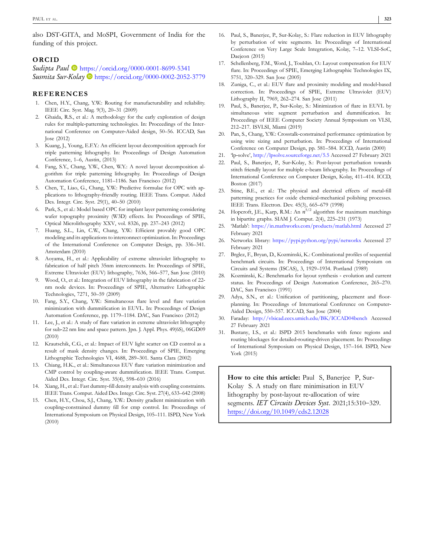also DST‐GITA, and MoSPI, Government of India for the funding of this project.

#### **ORCID**

*Sudipta Paul* https://orcid.org/0000-0001-8699-5341 *Susmita Sur‐Kolay* https://orcid.org/0000-0002-2052-3779

#### **REFERENCES**

- Chen, H.Y., Chang, Y.W.: Routing for manufacturability and reliability. IEEE Circ. Syst. Mag. 9(3), 20–31 (2009)
- 2. Ghaida, R.S., et al.: A methodology for the early exploration of design rules for multiple‐patterning technologies. In: Proceedings of the International Conference on Computer‐Aided design, 50–56. ICCAD, San Jose (2012)
- 3. Kuang, J., Young, E.F.Y.: An efficient layout decomposition approach for triple patterning lithography. In: Proceedings of Design Automation Conference, 1–6, Austin, (2013)
- 4. Fang, S.Y., Chang, Y.W., Chen, W.Y.: A novel layout decomposition algorithm for triple patterning lithography. In: Proceedings of Design Automation Conference, 1181–1186. San Francisco (2012)
- 5. Chen, T., Liao, G., Chang, Y.W.: Predictive formulae for OPC with applications to lithography‐friendly routing. IEEE Trans. Comput. Aided Des. Integr. Circ. Syst. 29(1), 40–50 (2010)
- 6. Park, S., et al.: Model based OPC for implant layer patterning considering wafer topography proximity (W3D) effects. In: Proceedings of SPIE, Optical Microlithography XXV, vol. 8326, pp. 237–243 (2012)
- 7. Huang, S.L., Lin, C.W., Chang, Y.W.: Efficient provably good OPC modeling and its applications to interconnect optimization. In: Proceedings of the International Conference on Computer Design, pp. 336–341. Amsterdam (2010)
- 8. Aoyama, H., et al.: Applicability of extreme ultraviolet lithography to fabrication of half pitch 35nm interconnects. In: Proceedings of SPIE, Extreme Ultraviolet (EUV) lithography, 7636, 566–577, San Jose (2010)
- 9. Wood, O., et al.: Integration of EUV lithography in the fabrication of 22nm node devices. In: Proceedings of SPIE, Alternative Lithographic Technologies, 7271, 50–59 (2009)
- 10. Fang, S.Y., Chang, Y.W.: Simultaneous flare level and flare variation minimization with dummification in EUVL. In: Proceedings of Design Automation Conference, pp. 1179–1184. DAC, San Francisco (2012)
- 11. Lee, J., et al.: A study of flare variation in extreme ultraviolet lithography for sub‐22 nm line and space pattern. Jpn. J. Appl. Phys. 49(6S), 06GD09 (2010)
- 12. Krautschik, C.G., et al.: Impact of EUV light scatter on CD control as a result of mask density changes. In: Proceedings of SPIE, Emerging Lithographic Technologies VI, 4688, 289–301. Santa Clara (2002)
- 13. Chiang, H.K., et al.: Simultaneous EUV flare variation minimization and CMP control by coupling‐aware dummification. IEEE Trans. Comput. Aided Des. Integr. Circ. Syst. 35(4), 598–610 (2016)
- 14. Xiang, H., et al.: Fast dummy‐fill density analysis with coupling constraints. IEEE Trans. Comput. Aided Des. Integr. Circ. Syst. 27(4), 633–642 (2008)
- 15. Chen, H.Y., Chou, S.J., Chang, Y.W.: Density gradient minimization with coupling‐constrained dummy fill for cmp control. In: Proceedings of International Symposium on Physical Design, 105–111. ISPD, New York (2010)
- 16. Paul, S., Banerjee, P., Sur-Kolay, S.: Flare reduction in EUV lithography by perturbation of wire segments. In: Proceedings of International Conference on Very Large Scale Integration, Kolay, 7–12. VLSI‐SoC, Daejeon (2015)
- 17. Schellenberg, F.M., Word, J., Toublan, O.: Layout compensation for EUV flare. In: Proceedings of SPIE, Emerging Lithographic Technologies IX, 5751, 320–329. San Jose (2005)
- 18. Zuniga, C., et al.: EUV flare and proximity modeling and model‐based correction. In: Proceedings of SPIE, Extreme Ultraviolet (EUV) Lithography II, 7969, 262–274. San Jose (2011)
- 19. Paul, S., Banerjee, P., Sur‐Kolay, S.: Minimization of flare in EUVL by simultaneous wire segment perturbation and dummification. In: Proceedings of IEEE Computer Society Annual Symposium on VLSI, 212–217. ISVLSI, Miami (2019)
- 20. Pan, S., Chang, Y.W.: Crosstalk‐constrained performance optimization by using wire sizing and perturbation. In: Proceedings of International Conference on Computer Design, pp. 581–584. ICCD, Austin (2000)
- 21. 'lp‐solve', http://lpsolve.sourceforge.net/5.5 Accessed 27 February 2021
- Paul, S., Banerjee, P., Sur-Kolay, S.: Post-layout perturbation towards stitch friendly layout for multiple e‐beam lithography. In: Proceedings of International Conference on Computer Design, Kolay, 411–414. ICCD, Boston (2017)
- 23. Stine, B.E., et al.: The physical and electrical effects of metal-fill patterning practices for oxide chemical‐mechanical polishing processes. IEEE Trans. Electron. Dev. 45(3), 665–679 (1998)
- 24. Hopcroft, J.E., Karp, R.M.: An *n* 5/2 algorithm for maximum matchings in bipartite graphs. SIAM J. Comput. 2(4), 225–231 (1973)
- 25. 'Matlab': https://in.mathworks.com/products/matlab.html Accessed 27 February 2021
- 26. Networkx library: https://pypi.python.org/pypi/networkx Accessed 27 February 2021
- 27. Brglez, F., Bryan, D., Kozminski, K.: Combinational profiles of sequential benchmark circuits. In: Proceedings of International Symposium on Circuits and Systems (ISCAS), 3, 1929–1934. Portland (1989)
- 28. Kozminski, K.: Benchmarks for layout synthesis ‐ evolution and current status. In: Proceedings of Design Automation Conference, 265–270. DAC, San Francisco (1991)
- 29. Adya, S.N., et al.: Unification of partitioning, placement and floorplanning. In: Proceedings of International Conference on Computer-Aided Design, 550–557. ICCAD, San Jose (2004)
- 30. Faraday: http://vlsicad.eecs.umich.edu/BK/ICCAD04bench Accessed 27 February 2021
- 31. Bustany, I.S., et al.: ISPD 2015 benchmarks with fence regions and routing blockages for detailed‐routing‐driven placement. In: Proceedings of International Symposium on Physical Design, 157–164. ISPD, New York (2015)

**How to cite this article:** Paul S, Banerjee P, Sur‐ Kolay S. A study on flare minimisation in EUV lithography by post‐layout re‐allocation of wire segments. *IET Circuits Devices Syst*. 2021;15:310–329. https://doi.org/10.1049/cds2.12028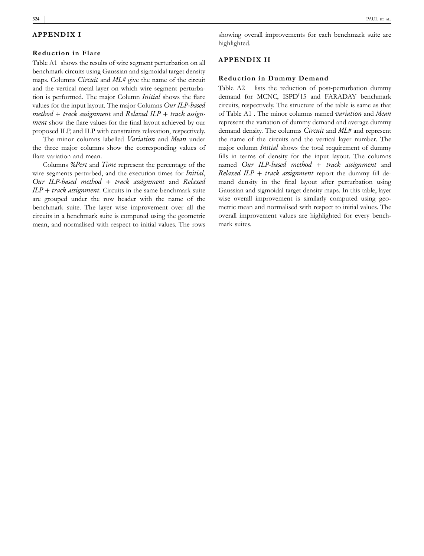#### **324**

#### **APPENDIX I**

#### **Reduction in Flare**

Table A1 shows the results of wire segment perturbation on all benchmark circuits using Gaussian and sigmoidal target density maps. Columns *Circuit* and *ML#* give the name of the circuit and the vertical metal layer on which wire segment perturbation is performed. The major Column *Initial* shows the flare values for the input layout. The major Columns *Our ILP*‐*based method* + *track assignment* and *Relaxed ILP* + *track assign‐ ment* show the flare values for the final layout achieved by our proposed ILP, and ILP with constraints relaxation, respectively.

The minor columns labelled *Variation* and *Mean* under the three major columns show the corresponding values of flare variation and mean.

Columns *%Pert* and *Time* represent the percentage of the wire segments perturbed, and the execution times for *Initial*, *Our ILP*‐*based method* + *track assignment* and *Relaxed ILP* + *track assignment*. Circuits in the same benchmark suite are grouped under the row header with the name of the benchmark suite. The layer wise improvement over all the circuits in a benchmark suite is computed using the geometric mean, and normalised with respect to initial values. The rows

showing overall improvements for each benchmark suite are highlighted.

#### **APPENDIX II**

#### **Reduction in Dummy Demand**

Table A2 lists the reduction of post-perturbation dummy demand for MCNC, ISPD'15 and FARADAY benchmark circuits, respectively. The structure of the table is same as that of Table A1 . The minor columns named *variation* and *Mean* represent the variation of dummy demand and average dummy demand density. The columns *Circuit* and *ML#* and represent the name of the circuits and the vertical layer number. The major column *Initial* shows the total requirement of dummy fills in terms of density for the input layout. The columns named *Our ILP*‐*based method* + *track assignment* and *Relaxed ILP* + *track assignment* report the dummy fill demand density in the final layout after perturbation using Gaussian and sigmoidal target density maps. In this table, layer wise overall improvement is similarly computed using geometric mean and normalised with respect to initial values. The overall improvement values are highlighted for every benchmark suites.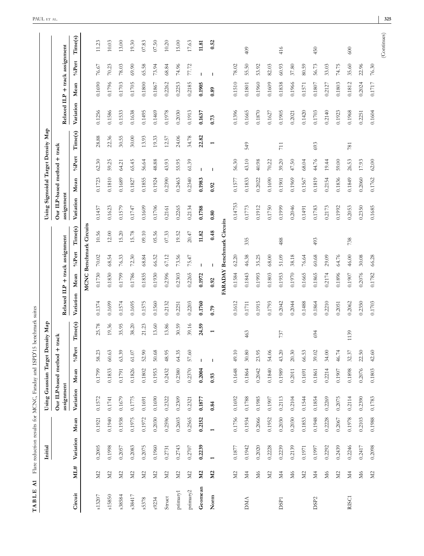| $\lambda$ 1<br>TABLE |                    |                          |                          | Flare reduction results for MCNC, Faraday and ISPD'1 |        |                | 5 benchmark suites       |           |                                |                           |           |                                            |        |                |                          |                                |            |       |             |
|----------------------|--------------------|--------------------------|--------------------------|------------------------------------------------------|--------|----------------|--------------------------|-----------|--------------------------------|---------------------------|-----------|--------------------------------------------|--------|----------------|--------------------------|--------------------------------|------------|-------|-------------|
|                      |                    | Initial                  |                          | Using Gaussian Target                                |        |                | ensity Map               |           |                                |                           |           | Using Sigmoidal Target Density Map         |        |                |                          |                                |            |       |             |
|                      |                    |                          |                          | Our ILP-based method +<br>assignment                 |        |                | $\operatorname{track}$   |           | Relaxed ILP + track assignment |                           |           | Our ILP-based method + track<br>assignment |        |                |                          | Relaxed ILP + track assignment |            |       |             |
| Circuit              | ML#                | Variation                | Mean                     | Variation                                            | Mean   | $\%$ Pert      | Time(s)                  | Variation | Mean                           | $\% {\bf Pert}$           | Time(s)   | Variation                                  | Mean   | %Pert          | Time(s)                  | Variation                      | Mean       | %Pert | Time(s)     |
|                      |                    |                          |                          |                                                      |        |                |                          |           | MCNC                           | <b>Benchmark Circuits</b> |           |                                            |        |                |                          |                                |            |       |             |
| s13207               | M2                 | 0.2005                   | 0.1921                   | 0.1572                                               | 0.1799 | 58.23          | 25.78                    | 0.1374    | 0.1730                         | 70.02                     | 10.56     | 0.1457                                     | 0.1723 | 62.30          | 28.88                    | 0.1256                         | 0.1690     | 76.67 | 11.23       |
| s15850               | $\rm \overline{M}$ | 0.1998                   | 0.1940                   | 0.1741                                               | 0.1833 | 60.63          | 19.36                    | 0.1699    | 0.1830                         | 68.54                     | $12.00$   | 0.1623                                     | 0.1810 | 59.25          | 22.36                    | 0.1586                         | 0.1796     | 70.23 | 10.03       |
| s38584               | $\Sigma$           | 0.2057                   | 0.1938                   | 0.1679                                               | 0.1791 | 63.39          | 35.95                    | 0.1574    | 0.1799                         | 76.33                     | 15.20     | 0.1579                                     | 0.1689 | 64.21          | 30.55                    | 0.1533                         | 0.1703     | 78.03 | 13.00       |
| s38417               | M <sup>2</sup>     | 0.2083                   | 0.1975                   | 0.1775                                               | 0.1826 | $61.07\,$      | 38.20                    | 0.1695    | 0.1786                         | 72.30                     | 15.78     | 0.1747                                     | 0.1827 | 65.45          | 30.00                    | 0.1638                         | 0.1705     | 69.90 | 19.30       |
| s5378                | $\Sigma$           | 0.2075                   | 0.1972                   | 0.1691                                               | 0.1802 | 52.90          | 21.23                    | 0.1575    | 0.1835                         | 68.84                     | $09.10\,$ | 0.1609                                     | 0.1855 | 56.64          | 13.93                    | 0.1495                         | 0.1800     | 65.58 | 07.83       |
| s9234                | $\Sigma$           | 0.1960                   | 0.2030                   | 0.1690                                               | 0.1953 | 50.68          | 13.60                    | 0.1560    | 0.1930                         | 66.52                     | 05.56     | 0.1706                                     | 0.1924 | 48.88          | 19.33                    | 0.1469                         | 0.1867     | 73.94 | 07.50       |
| Struct               | $\Sigma$           | 0.2731                   | 0.2596                   | 0.2322                                               | 0.2432 | 48.95          | 13.86                    | 0.2132    | 0.2396                         | 67.12                     | 07.33     | 0.2161                                     | 0.2390 | 43.93          | 12.57                    | 0.1978                         | 0.2262     | 68.84 | 10.20       |
| primary1             | $\Sigma$           | 0.2743                   | 0.2603                   | 0.2309                                               | 0.2380 | 64.35          | 30.59                    | 0.2251    | 0.2303                         | 73.56                     | 19.52     | 0.2265                                     | 0.2463 | 55.95          | 24.06                    | 0.2030                         | 0.2253     | 74.96 | $15.00$     |
| primary2             | M <sub>2</sub>     | 0.2707                   | 0.2565                   | 0.2321                                               | 0.2370 | 57.60          | 39.16                    | 0.2203    | 0.2265                         | 75.47                     | 20.47     | 0.2134                                     | 0.2340 | 61.39          | 34.78                    | 0.1913                         | 0.2185     | 77.72 | 17.63       |
| Geomean              | $\Sigma$           | 0.2239                   | 0.2152                   | 0.1877                                               | 0.2004 |                | 24.59                    | 0.1760    | 0.1972                         |                           | 11.82     | 0.1788                                     | 0.1983 |                | 22.82                    | 0.1637                         | 0.1905     |       | 11.81       |
| Norm                 | N <sub>2</sub>     | $\overline{\phantom{0}}$ | $\overline{\phantom{0}}$ | 0.84                                                 | 0.93   | $\overline{1}$ | $\overline{\phantom{0}}$ | 0.79      | 0.92                           | $\overline{1}$            | 0.48      | 0.80                                       | 0.92   | $\overline{1}$ | $\overline{\phantom{0}}$ | 0.73                           | 0.89       |       | 0.52        |
|                      |                    |                          |                          |                                                      |        |                |                          |           | FARADAY Benchmark Circuits     |                           |           |                                            |        |                |                          |                                |            |       |             |
|                      | $\rm M2$           | 0.1877                   | 0.1756                   | 0.1692                                               | 0.1648 | 49.10          |                          | 0.1612    | 0.1584                         | 62.20                     |           | 0.14753                                    | 0.1577 | 56.30          |                          | 0.1396                         | 0.1510     | 78.02 |             |
| <b>DMA</b>           | N4                 | 0.1942                   | 0.1934                   | 0.1788                                               | 0.1864 | 30.80          | 463                      | 0.1711    | 0.1843                         | 46.38                     | 335       | 0.1773                                     | 0.1833 | 43.10          | 549                      | 0.1665                         | 0.1801     | 55.50 | 409         |
|                      | $\rm\,M$           | 0.2020                   | 0.2066                   | 0.1985                                               | 0.2042 | 23.95          |                          | 0.1915    | 0.1993                         | 35.25                     |           | 0.1912                                     | 0.2022 | 40.98          |                          | 0.1870                         | 0.1960     | 53.92 |             |
|                      | $\Sigma$           | 0.2228                   | 0.1952                   | 0.1907                                               | 0.1840 | 54.06          |                          | 0.1793    | 0.1803                         | 68.00                     |           | 0.1750                                     | 0.1690 | 70.22          |                          | 0.1627                         | 0.1609     | 82.03 |             |
| DSP <sub>1</sub>     | Ν4                 | 0.2239                   | 0.2030                   | 0.2113                                               | 0.1989 | 43.20          | 737                      | 0.2042    | 0.1953                         | $51.09$                   | 488       | 0.1999                                     | 0.1901 | 39.20          | 711                      | 0.1905                         | 0.1838     | 60.93 | 416         |
|                      | $\rm\,M$           | 0.2139                   | 0.2030                   | 0.2104                                               | 0.2011 | 20.30          |                          | 0.2044    | 0.1970                         | 38.18                     |           | 0.2046                                     | 0.1969 | 47.50          |                          | 0.2021                         | 0.1966     | 37.80 |             |
|                      | $\Sigma$           | 0.1971                   | 0.1853                   | 0.1544                                               | 0.1691 | 66.53          |                          | 0.1488    | 0.1665                         | 76.64                     |           | 0.1491                                     | 0.1567 | 68.04          |                          | 0.1420                         | 0.1571     | 80.59 |             |
| DSP <sub>2</sub>     | И4                 | 0.1997                   | 0.1948                   | 0.1854                                               | 0.1861 | 39.02          | 694                      | 0.1864    | 0.1865                         | 60.68                     | 493       | 0.1783                                     | 0.1819 | 44.76          | 693                      | 0.1703                         | $0.1807\,$ | 56.73 | 450         |
|                      | N <sub>6</sub>     | 0.2292                   | 0.2228                   | 0.2269                                               | 0.2214 | 34.00          |                          | 0.2210    | 0.2174                         | 29.09                     |           | 0.2173                                     | 0.2154 | 19.44          |                          | 0.2140                         | 0.2127     | 33.03 |             |
|                      | $\Sigma$           | 0.2439                   | 0.2067                   | 0.2075                                               | 0.1907 | 46.74          |                          | 0.2051    | 0.1896                         | 64.76                     |           | 0.1992                                     | 0.1836 | 59.00          |                          | 0.1923                         | 0.1803     | 74.75 |             |
| RISC1                | N <sub>4</sub>     | 0.2246                   | 0.1978                   | 0.2114                                               | 0.1898 | 32.37          | 1139                     | 0.2062    | 0.1907                         | 46.00                     | 738       | 0.2053                                     | 0.1849 | 26.53          | 781                      | 0.1968                         | 0.1812     | 35.60 | 600         |
|                      | $\rm\,M$           | 0.2417                   | 0.2103                   | 0.2390                                               | 0.2076 | 22.50          |                          | 0.2350    | 0.2076                         | 30.08                     |           | 0.2350                                     | 0.2060 | 17.93          |                          | 0.2251                         | 0.2024     | 22.96 |             |
|                      | $\Sigma$           | 0.2098                   | 0.1988                   | 0.1783                                               | 0.1803 | 42.60          |                          | 0.1703    | 0.1782                         | 66.28                     |           | 0.1685                                     | 0.1762 | 62.00          |                          | 0.1604                         | 0.1717     | 76.30 |             |
|                      |                    |                          |                          |                                                      |        |                |                          |           |                                |                           |           |                                            |        |                |                          |                                |            |       | (Continues) |

PAUL ET AL .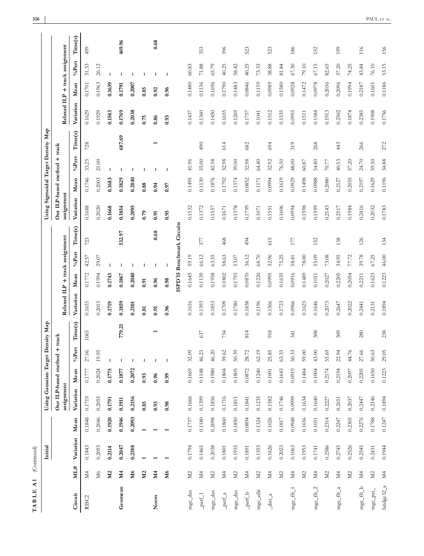|                                |                    | Initial    |            | Using Gaussian Target Density Map    |            |                |                          |                                |          |           |                            | Using Sigmoidal Target Density Map         |            |              |                          |                                |            |                |         |
|--------------------------------|--------------------|------------|------------|--------------------------------------|------------|----------------|--------------------------|--------------------------------|----------|-----------|----------------------------|--------------------------------------------|------------|--------------|--------------------------|--------------------------------|------------|----------------|---------|
|                                |                    |            |            | Our ILP-based method +<br>assignment |            |                | track                    | Relaxed ILP + track assignment |          |           |                            | Our ILP-based method + track<br>assignment |            |              |                          | Relaxed ILP + track assignment |            |                |         |
| Circuit                        | ML#                | Variation  | Mean       | Variation                            | Mean       | %Pert          | Time(s)                  | Variation                      | Mean     | %Pert     | Time(s)                    | Variation                                  | Mean       | $\%$ Pert    | Time(s)                  | Variation                      | Mean       | %Pert          | Time(s) |
| RISC <sub>2</sub>              | N4                 | 0.1843     | 0.1848     | 0.1719                               | 0.1777     | 27.06          | 1065                     | 0.1655                         | 0.1772   | 42.57     | 723                        | 0.1688                                     | 0.1746     | 33.25        | 728                      | 0.1629                         | 0.1701     | 51.33          | 499     |
|                                | N <sub>6</sub>     | 0.2093     | 0.2046     | 0.2055                               | 0.2024     | 19.95          |                          | 0.2015                         | 0.1994   | 29.07     |                            | 0.2020                                     | 0.2003     | $21.00$      |                          | 0.1929                         | 0.1963     | 26.12          |         |
|                                | M <sub>2</sub>     | 0.2114     | 0.1920     | 0.1791                               | 0.1775     | $\mathsf{I}$   |                          | 0.1719                         | 0.1743   | I         |                            | 0.1668                                     | 0.1683     | $\mathbf{I}$ |                          | 0.1583                         | 0.1639     | $\mathsf{I}$   |         |
| Geomean                        | <b>M4</b>          | 0.2047     | 0.1946     | 0.1911                               | 0.1877     | $\overline{1}$ | 779.21                   | 0.1859                         | 0.1867   |           | 532.97                     | 0.1854                                     | 0.1829     |              | 687.69                   | 0.1769                         | 0.1791     | $\blacksquare$ | 469.96  |
|                                | М6                 | 0.2188     | 0.2093     | 0.2156                               | 0.2072     | $\overline{1}$ |                          | 0.2101                         | 0.2040   |           |                            | 0.2095                                     | 0.2040     |              |                          | 0.2038                         | 0.2007     | $\mathbf{I}$   |         |
|                                | $\Sigma$           |            |            | 0.85                                 | 0.93       | $\mathbf{I}$   |                          | 0.81                           | 0.91     |           |                            | 0.79                                       | 0.88       |              |                          | 0.75                           | 0.85       | $\overline{1}$ |         |
| Norm                           | М4                 |            |            | 0.93                                 | 0.96       | $\mathbf{I}$   | $\overline{\phantom{0}}$ | 0.91                           | 0.96     |           | 0.68                       | 0.91                                       | 0.94       |              | $\overline{\phantom{0}}$ | 0.86                           | 0.92       | $\mathbf{I}$   | 0.68    |
|                                | M6                 |            |            | 0.98                                 | 0.99       | $\mathbf{I}$   |                          | 0.96                           | 0.98     | I         |                            | 0.95                                       | 0.97       | I            |                          | 0.93                           | 0.96       | $\mathbf{I}$   |         |
|                                |                    |            |            |                                      |            |                |                          |                                |          |           | ISPD'15 Benchmark Circuits |                                            |            |              |                          |                                |            |                |         |
| $mgc$ <sub>-des</sub>          | M2                 | 0.1794     | 0.1737     | 0.1666                               | 0.1669     | 32.09          |                          | 0.1616                         | 0.1645   | 59.19     |                            | 0.1532                                     | 0.1495     | 41.96        |                          | 0.1437                         | 0.1480     | 60.83          |         |
| $\hspace{-0.5em}-$ perf_1      | N <sub>4</sub>     | 0.1465     | 0.1180     | 0.1399                               | 0.1148     | 46.23          | 637                      | 0.1393                         | 0.1139   | 66.12     | 377                        | 0.1372                                     | 0.1130     | 55.00        | 490                      | 0.1360                         | 0.1136     | $71.88\,$      | 353     |
| $mgc$ -des                     | $\rm M2$           | 0.2038     | 0.2098     | 0.1856                               | 0.1980     | 46.20          |                          | 0.1853                         | 0.1958   | 63.55     |                            | 0.1557                                     | 0.1876     | 42.58        |                          | 0.1450                         | 0.1696     | 65.79          |         |
| $_{\rm pert\_a}$               | $\rm \overline{M}$ | $\!0.1801$ | 0.1860     | 0.1716                               | 0.1804     | 39.62          | 734                      | 0.1709                         | 0.1802   | 58.63     | 468                        | 0.1671                                     | 0.1792     | 32.98        | 614                      | 0.1655                         | 0.1790     | 40.25          | 396     |
| $mgc$ -des                     | $\Sigma$           | 0.1935     | 0.1850     | 0.1811                               | 0.1805     | 50.39          |                          | 0.1780                         | 0.1793   | 53.07     |                            | 0.1378                                     | 0.1574     | 39.00        |                          | 0.1269                         | 0.1483     | 58.42          |         |
| $\hspace{-0.05cm} -$ perf_b    | N <sub>4</sub>     | 0.1891     | 0.0894     | 0.1841                               | 0.0872     | 28.72          | 814                      | 0.1838                         | 0.0870   | 36.12     | 494                        | 0.1799                                     | 0.0852     | 32.98        | 682                      | 0.1757                         | 0.0846     | 40.25          | 523     |
| mgc_edit                       | $\Sigma$           | 0.1353     | 0.1324     | 0.1235                               | 0.1240     | 62.19          |                          | 0.1196                         | 0.1226   | 68.70     |                            | 0.1071                                     | $0.1171\,$ | 64.40        |                          | 0.1041                         | 0.1159     | 73.33          |         |
| $\frac{\text{dist}}{\text{a}}$ | N <sub>4</sub>     | 0.1626     | 0.1026     | 0.1582                               | $0.1001\,$ | 25.85          | 918                      | 0.1566                         | 0.0995   | 32.96     | 615                        | 0.1551                                     | 0.0994     | 32.92        | 694                      | 0.1512                         | 0.0989     | 38.88          | 523     |
|                                | $\rm M2$           | 0.2023     | $0.1817\,$ | 0.1746                               | 0.1643     | 63.33          |                          | 0.1723                         | 0.1635   | 75.25     |                            | 0.1606                                     | 0.1619     | 76.50        |                          | 0.1535                         | 0.1580     | 81.84          |         |
| $mgc\_fft\_1$                  | Ž4                 | 0.1063     | 0.0948     | 0.0999                               | 0.0919     | 50.33          | 341                      | 0.0966                         | 0.0916   | 58.41     | 177                        | 0.0994                                     | 0.0929     | 48.00        | 319                      | 0.0993                         | 0.0928     | 67.30          | 186     |
|                                | $\Sigma$           | 0.1953     | 0.1656     | 0.1634                               | 0.1484     | 59.00          |                          | 0.1623                         | 0.1489   | $78.00\,$ |                            | 0.1598                                     | 0.1498     | 60.87        |                          | 0.1511                         | 0.1472     | $79.10\,$      |         |
| mgc_fft_2                      | Й4                 | 0.1741     | 0.1051     | 0.1640                               | 0.1004     | 43.00          | 308                      | 0.1646                         | $0.1011$ | 55.09     | 152                        | 0.1599                                     | 0.0988     | 54.80        | 268                      | 0.1584                         | 0.0978     | 67.15          | 152     |
|                                | M <sub>2</sub>     | 0.2586     | 0.2314     | 0.2227                               | 0.2174     | 55.69          |                          | 0.2073                         | 0.2027   | 73.08     |                            | 0.2143                                     | 0.2080     | 70.77        |                          | 0.1913                         | 0.2036     | 82.65          |         |
| $mgc\_fft\_a$                  | N <sub>4</sub>     | 0.2745     | 0.2247     | 0.2651                               | 0.2194     | 22.94          | 309                      | 0.2647                         | 0.2205   | 34.95     | 138                        | 0.2517                                     | 0.2127     | 40.53        | 443                      | 0.2502                         | 0.2096     | 57.20          | 199     |
|                                | $\Sigma$           | 0.2526     | 0.2305     | 0.2037                               | 0.2097     | 44.76          |                          | 0.2022                         | 0.2054   | 77.72     |                            | 0.1984                                     | 0.2035     | 57.20        |                          | 0.1874                         | 0.1994     | 74.25          |         |
| $mgc\_fft\_b$                  | N <sub>4</sub>     | 0.2545     | 0.2276     | 0.2447                               | 0.2205     | 27.66          | 280                      | 0.2441                         | 0.2211   | 39.78     | 126                        | 0.2416                                     | 0.2197     | 24.70        | 266                      | 0.2385                         | 0.2187     | 43.84          | 116     |
| mgc_pci_                       | $\rm M2$           | 0.2431     | 0.1788     | 0.2146                               | 0.1650     | 50.63          |                          | 0.2131                         | 0.1623   | 67.25     |                            | 0.2032                                     | 0.1629     | 59.50        |                          | 0.1908                         | $0.1601\,$ | $76.10\,$      |         |
| bridge $32_a$                  | $\rm M4$           | 0.1944     | 0.1247     | 0.1894                               | 0.1223     | 29.05          | 238                      | 0.1894                         | 0.1223   | 46.00     | 134                        | 0.1783                                     | 0.1196     | 34.88        | 272                      | 0.1756                         | 0.1186     | 53.15          | 156     |

**TABLE A1** (Continued)

 $\begin{tabular}{ll} \bf{TABLE \,\,A1} & (Continued) \\ \end{tabular}$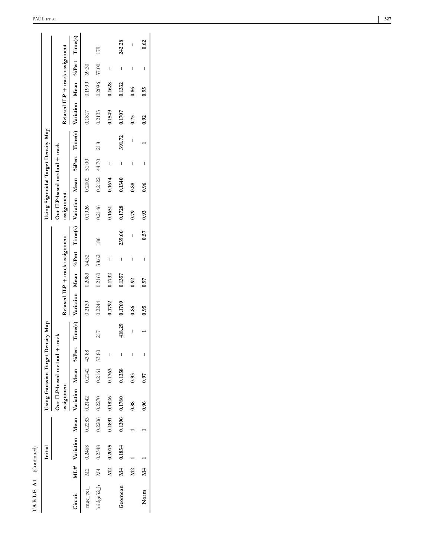| ٢                          |
|----------------------------|
| 凹<br>נ<br>Þ<br>ŕ<br>l<br>۴ |

|                 |                         | Initial   |        | Using Gaussian Target Density Map      |                |   |         |                                |              |       |        | Using Sigmoidal Target Density Map                                                     |                |       |        |                                |              |       |        |
|-----------------|-------------------------|-----------|--------|----------------------------------------|----------------|---|---------|--------------------------------|--------------|-------|--------|----------------------------------------------------------------------------------------|----------------|-------|--------|--------------------------------|--------------|-------|--------|
|                 |                         |           |        | Our ILP-based method +                 |                |   | track   |                                |              |       |        | Our ILP-based method + track                                                           |                |       |        |                                |              |       |        |
|                 |                         |           |        | assignment                             |                |   |         | Relaxed ILP + track assignment |              |       |        | assignment                                                                             |                |       |        | Relaxed ILP + track assignment |              |       |        |
| Circuit         |                         |           |        | ML# Variation Mean Variation Mean %Per |                |   | Time(s) |                                |              |       |        | Variation Mean %Pert Time(s) Variation Mean %Pert Time(s) Variation Mean %Pert Time(s) |                |       |        |                                |              |       |        |
| mgc_pci_        |                         | M2 0.2468 |        | $0.2283$ $0.2142$                      | $0.2142$ 43.88 |   |         | 0.2139                         | 0.2083 64.52 |       |        | 0.1926                                                                                 | $0.2002$ 51.00 |       |        | 0.1817                         | 0.1999 69.30 |       |        |
| bridge32_b $M4$ |                         | 0.2348    |        | $0.2206$ $0.2270$                      | 0.2161 53.80   |   | 217     | 0.2244                         | 0.2160       | 38.62 | 186    | 0.2146                                                                                 | 0.2122         | 44.70 | 218    | 0.2133                         | 0.2096       | 57.00 | 179    |
|                 | M2                      | 0.2075    | 0.1891 | 0.1826                                 | 0.1763         | I |         | 0.1792                         | 0.1732       | I     |        | 0.1651                                                                                 | 0.1674         | I     |        | 0.1549                         | 0.1628       | I     |        |
| Geomean         | $\mathbf{M}$ 4          | 0.1854    | 0.1396 | 0.1780                                 | 0.1358         | I | 418.29  | 0.1769                         | 0.1357       | I     | 239.66 | 0.1728                                                                                 | 0.1340         | I     | 391.72 | 0.1707                         | 0.1332       | I     | 242.28 |
|                 | M <sub>2</sub>          |           |        | 0.88                                   | 0.93           | I | I       | 0.86                           | 0.92         | I     | I      | 0.79                                                                                   | 0.88           | I     | I      | 0.75                           | 0.86         | I     | I      |
| Norm            | $\overline{\mathbf{M}}$ |           |        | 0.96                                   | 0.97           | ı |         | 0.95                           | 0.97         | I     | 0.57   | 0.93                                                                                   | 0.96           | I     |        | 0.92                           | 0.95         | I     | 0.62   |
|                 |                         |           |        |                                        |                |   |         |                                |              |       |        |                                                                                        |                |       |        |                                |              |       |        |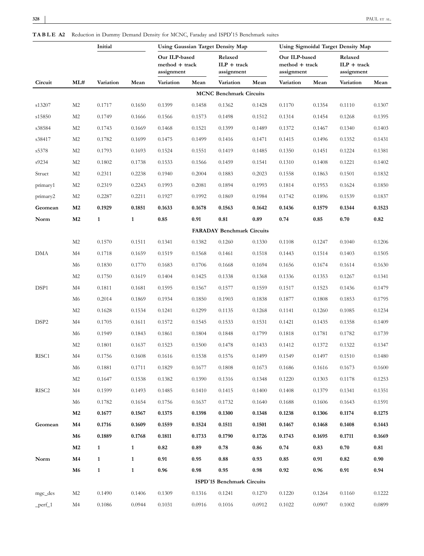|                   |                | Initial      |              |                                               |        | <b>Using Gaussian Target Density Map</b> |        | Using Sigmoidal Target Density Map            |        |                                        |        |
|-------------------|----------------|--------------|--------------|-----------------------------------------------|--------|------------------------------------------|--------|-----------------------------------------------|--------|----------------------------------------|--------|
|                   |                |              |              | Our ILP-based<br>method + track<br>assignment |        | Relaxed<br>$ILP + track$<br>assignment   |        | Our ILP-based<br>method + track<br>assignment |        | Relaxed<br>$ILP + track$<br>assignment |        |
| Circuit           | ML#            | Variation    | Mean         | Variation                                     | Mean   | Variation                                | Mean   | Variation                                     | Mean   | Variation                              | Mean   |
|                   |                |              |              |                                               |        | <b>MCNC Benchmark Circuits</b>           |        |                                               |        |                                        |        |
| s13207            | M <sub>2</sub> | 0.1717       | 0.1650       | 0.1399                                        | 0.1458 | 0.1362                                   | 0.1428 | 0.1170                                        | 0.1354 | 0.1110                                 | 0.1307 |
| s15850            | M <sub>2</sub> | 0.1749       | 0.1666       | 0.1566                                        | 0.1573 | 0.1498                                   | 0.1512 | 0.1314                                        | 0.1454 | 0.1268                                 | 0.1395 |
| s38584            | M <sub>2</sub> | 0.1743       | 0.1669       | 0.1468                                        | 0.1521 | 0.1399                                   | 0.1489 | 0.1372                                        | 0.1467 | 0.1340                                 | 0.1403 |
| s38417            | M <sub>2</sub> | 0.1782       | 0.1699       | 0.1475                                        | 0.1499 | 0.1416                                   | 0.1471 | 0.1415                                        | 0.1496 | 0.1352                                 | 0.1431 |
| s5378             | M <sub>2</sub> | 0.1793       | 0.1693       | 0.1524                                        | 0.1551 | 0.1419                                   | 0.1485 | 0.1350                                        | 0.1451 | 0.1224                                 | 0.1381 |
| s9234             | M <sub>2</sub> | 0.1802       | 0.1738       | 0.1533                                        | 0.1566 | 0.1459                                   | 0.1541 | 0.1310                                        | 0.1408 | 0.1221                                 | 0.1402 |
| Struct            | M <sub>2</sub> | 0.2311       | 0.2238       | 0.1940                                        | 0.2004 | 0.1883                                   | 0.2023 | 0.1558                                        | 0.1863 | 0.1501                                 | 0.1832 |
| primary1          | M2             | 0.2319       | 0.2243       | 0.1993                                        | 0.2081 | 0.1894                                   | 0.1993 | 0.1814                                        | 0.1953 | 0.1624                                 | 0.1850 |
| primary2          | M <sub>2</sub> | 0.2287       | 0.2211       | 0.1927                                        | 0.1992 | 0.1869                                   | 0.1984 | 0.1742                                        | 0.1896 | 0.1539                                 | 0.1837 |
| Geomean           | M <sub>2</sub> | 0.1929       | 0.1851       | 0.1633                                        | 0.1678 | 0.1563                                   | 0.1642 | 0.1436                                        | 0.1579 | 0.1344                                 | 0.1523 |
| Norm              | M <sub>2</sub> | $\mathbf{1}$ | $\mathbf{1}$ | $\bf 0.85$                                    | 0.91   | 0.81                                     | 0.89   | 0.74                                          | 0.85   | 0.70                                   | 0.82   |
|                   |                |              |              |                                               |        | <b>FARADAY Benchmark Circuits</b>        |        |                                               |        |                                        |        |
|                   | M2             | 0.1570       | 0.1511       | 0.1341                                        | 0.1382 | 0.1260                                   | 0.1330 | 0.1108                                        | 0.1247 | 0.1040                                 | 0.1206 |
| <b>DMA</b>        | M4             | 0.1718       | 0.1659       | 0.1519                                        | 0.1568 | 0.1461                                   | 0.1518 | 0.1443                                        | 0.1514 | 0.1403                                 | 0.1505 |
|                   | M6             | 0.1830       | 0.1770       | 0.1683                                        | 0.1706 | 0.1668                                   | 0.1694 | 0.1656                                        | 0.1674 | 0.1614                                 | 0.1630 |
|                   | M <sub>2</sub> | 0.1750       | 0.1619       | 0.1404                                        | 0.1425 | 0.1338                                   | 0.1368 | 0.1336                                        | 0.1353 | 0.1267                                 | 0.1341 |
| DSP1              | M4             | 0.1811       | 0.1681       | 0.1595                                        | 0.1567 | 0.1577                                   | 0.1559 | 0.1517                                        | 0.1523 | 0.1436                                 | 0.1479 |
|                   | M6             | 0.2014       | 0.1869       | 0.1934                                        | 0.1850 | 0.1903                                   | 0.1838 | 0.1877                                        | 0.1808 | 0.1853                                 | 0.1795 |
|                   | M <sub>2</sub> | 0.1628       | 0.1534       | 0.1241                                        | 0.1299 | 0.1135                                   | 0.1268 | 0.1141                                        | 0.1260 | 0.1085                                 | 0.1234 |
| DSP <sub>2</sub>  | M4             | 0.1705       | 0.1611       | 0.1572                                        | 0.1545 | 0.1533                                   | 0.1531 | 0.1421                                        | 0.1435 | 0.1358                                 | 0.1409 |
|                   | M6             | 0.1949       | 0.1843       | 0.1861                                        | 0.1804 | 0.1848                                   | 0.1799 | 0.1818                                        | 0.1781 | 0.1782                                 | 0.1739 |
|                   | M2             | 0.1801       | 0.1637       | 0.1523                                        | 0.1500 | 0.1478                                   | 0.1433 | 0.1412                                        | 0.1372 | 0.1322                                 | 0.1347 |
| RISC1             | M4             | 0.1756       | 0.1608       | 0.1616                                        | 0.1538 | 0.1576                                   | 0.1499 | 0.1549                                        | 0.1497 | 0.1510                                 | 0.1480 |
|                   | M6             | 0.1881       | 0.1711       | 0.1829                                        | 0.1677 | 0.1808                                   | 0.1673 | 0.1686                                        | 0.1616 | 0.1673                                 | 0.1600 |
|                   | M <sub>2</sub> | 0.1647       | 0.1538       | 0.1382                                        | 0.1390 | 0.1316                                   | 0.1348 | 0.1220                                        | 0.1303 | 0.1178                                 | 0.1253 |
| RISC <sub>2</sub> | M4             | 0.1599       | 0.1493       | 0.1485                                        | 0.1410 | 0.1415                                   | 0.1400 | 0.1408                                        | 0.1379 | 0.1341                                 | 0.1351 |
|                   | M6             | 0.1782       | 0.1654       | 0.1756                                        | 0.1637 | 0.1732                                   | 0.1640 | 0.1688                                        | 0.1606 | 0.1643                                 | 0.1591 |
|                   | M <sub>2</sub> | 0.1677       | 0.1567       | 0.1375                                        | 0.1398 | 0.1300                                   | 0.1348 | 0.1238                                        | 0.1306 | 0.1174                                 | 0.1275 |
| Geomean           | M4             | 0.1716       | 0.1609       | 0.1559                                        | 0.1524 | 0.1511                                   | 0.1501 | 0.1467                                        | 0.1468 | 0.1408                                 | 0.1443 |
|                   | M6             | 0.1889       | 0.1768       | 0.1811                                        | 0.1733 | 0.1790                                   | 0.1726 | 0.1743                                        | 0.1695 | 0.1711                                 | 0.1669 |
|                   | M <sub>2</sub> | $\mathbf{1}$ | $\mathbf{1}$ | 0.82                                          | 0.89   | 0.78                                     | 0.86   | 0.74                                          | 0.83   | 0.70                                   | 0.81   |
| Norm              | M4             | $\mathbf{1}$ | $\mathbf{1}$ | 0.91                                          | 0.95   | 0.88                                     | 0.93   | 0.85                                          | 0.91   | 0.82                                   | 0.90   |
|                   | M6             | $\mathbf{1}$ | $\mathbf{1}$ | 0.96                                          | 0.98   | 0.95                                     | 0.98   | 0.92                                          | 0.96   | 0.91                                   | 0.94   |
|                   |                |              |              |                                               |        | ISPD'15 Benchmark Circuits               |        |                                               |        |                                        |        |
| mgc_des           | M2             | 0.1490       | 0.1406       | 0.1309                                        | 0.1316 | 0.1241                                   | 0.1270 | 0.1220                                        | 0.1264 | 0.1160                                 | 0.1222 |
| $_{\rm perf_1}$   | M4             | 0.1086       | 0.0944       | 0.1031                                        | 0.0916 | 0.1016                                   | 0.0912 | 0.1022                                        | 0.0907 | 0.1002                                 | 0.0899 |